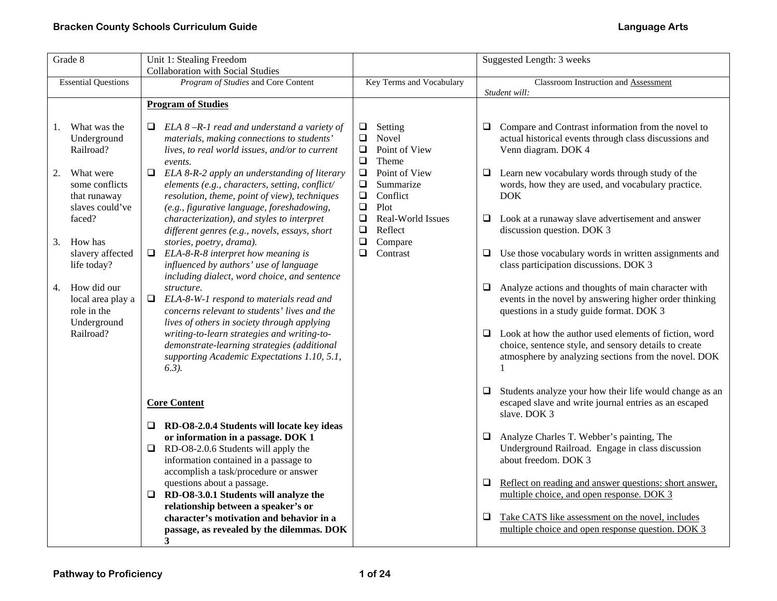| Grade 8                                                              | Unit 1: Stealing Freedom                                                                                                                                                    |                                                                                         | Suggested Length: 3 weeks                                                                                                                                                                     |
|----------------------------------------------------------------------|-----------------------------------------------------------------------------------------------------------------------------------------------------------------------------|-----------------------------------------------------------------------------------------|-----------------------------------------------------------------------------------------------------------------------------------------------------------------------------------------------|
|                                                                      | <b>Collaboration with Social Studies</b>                                                                                                                                    |                                                                                         |                                                                                                                                                                                               |
| <b>Essential Questions</b>                                           | Program of Studies and Core Content                                                                                                                                         | Key Terms and Vocabulary                                                                | <b>Classroom Instruction and Assessment</b>                                                                                                                                                   |
|                                                                      |                                                                                                                                                                             |                                                                                         | Student will:                                                                                                                                                                                 |
|                                                                      | <b>Program of Studies</b>                                                                                                                                                   |                                                                                         |                                                                                                                                                                                               |
| What was the<br>1.<br>Underground<br>Railroad?                       | Q.<br>ELA $8 - R - 1$ read and understand a variety of<br>materials, making connections to students'<br>lives, to real world issues, and/or to current                      | Setting<br>$\Box$<br>$\Box$<br>Novel<br>Point of View<br>$\Box$                         | Compare and Contrast information from the novel to<br>❏<br>actual historical events through class discussions and<br>Venn diagram. DOK 4                                                      |
| What were<br>2.<br>some conflicts<br>that runaway                    | events.<br>ELA 8-R-2 apply an understanding of literary<br>$\Box$<br>elements (e.g., characters, setting, conflict/<br>resolution, theme, point of view), techniques        | $\Box$<br>Theme<br>$\Box$<br>Point of View<br>$\Box$<br>Summarize<br>$\Box$<br>Conflict | Learn new vocabulary words through study of the<br>$\Box$<br>words, how they are used, and vocabulary practice.<br><b>DOK</b>                                                                 |
| slaves could've<br>faced?<br>How has                                 | (e.g., figurative language, foreshadowing,<br>characterization), and styles to interpret<br>different genres (e.g., novels, essays, short                                   | $\Box$<br>Plot<br>$\Box$<br>Real-World Issues<br>$\Box$<br>Reflect<br>$\Box$            | Look at a runaway slave advertisement and answer<br>❏<br>discussion question. DOK 3                                                                                                           |
| 3.<br>slavery affected<br>life today?                                | stories, poetry, drama).<br>ELA-8-R-8 interpret how meaning is<br>$\Box$<br>influenced by authors' use of language<br>including dialect, word choice, and sentence          | Compare<br>$\Box$<br>Contrast                                                           | Use those vocabulary words in written assignments and<br>❏<br>class participation discussions. DOK 3                                                                                          |
| How did our<br>4.<br>local area play a<br>role in the<br>Underground | structure.<br>ELA-8-W-1 respond to materials read and<br>❏<br>concerns relevant to students' lives and the<br>lives of others in society through applying                   |                                                                                         | $\Box$<br>Analyze actions and thoughts of main character with<br>events in the novel by answering higher order thinking<br>questions in a study guide format. DOK 3                           |
| Railroad?                                                            | writing-to-learn strategies and writing-to-<br>demonstrate-learning strategies (additional<br>supporting Academic Expectations 1.10, 5.1,<br>$6.3$ ).                       |                                                                                         | $\Box$ Look at how the author used elements of fiction, word<br>choice, sentence style, and sensory details to create<br>atmosphere by analyzing sections from the novel. DOK<br>$\mathbf{1}$ |
|                                                                      | <b>Core Content</b>                                                                                                                                                         |                                                                                         | Students analyze your how their life would change as an<br>$\Box$<br>escaped slave and write journal entries as an escaped<br>slave. DOK 3                                                    |
|                                                                      | RD-O8-2.0.4 Students will locate key ideas<br>Q.<br>or information in a passage. DOK 1<br>RD-O8-2.0.6 Students will apply the<br>❏<br>information contained in a passage to |                                                                                         | Analyze Charles T. Webber's painting, The<br>❏<br>Underground Railroad. Engage in class discussion<br>about freedom. DOK 3                                                                    |
|                                                                      | accomplish a task/procedure or answer<br>questions about a passage.<br>RD-O8-3.0.1 Students will analyze the<br>❏<br>relationship between a speaker's or                    |                                                                                         | 0<br>Reflect on reading and answer questions: short answer,<br>multiple choice, and open response. DOK 3                                                                                      |
|                                                                      | character's motivation and behavior in a<br>passage, as revealed by the dilemmas. DOK<br>3                                                                                  |                                                                                         | Take CATS like assessment on the novel, includes<br>$\Box$<br>multiple choice and open response question. DOK 3                                                                               |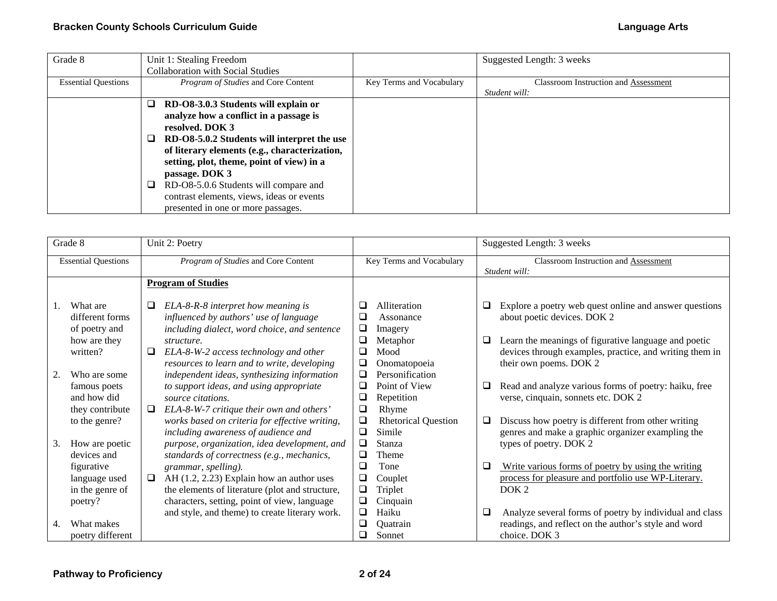| Grade 8                    | Unit 1: Stealing Freedom                      |                          | Suggested Length: 3 weeks                   |
|----------------------------|-----------------------------------------------|--------------------------|---------------------------------------------|
|                            | <b>Collaboration with Social Studies</b>      |                          |                                             |
| <b>Essential Questions</b> | <i>Program of Studies</i> and Core Content    | Key Terms and Vocabulary | <b>Classroom Instruction and Assessment</b> |
|                            |                                               |                          | Student will:                               |
|                            | RD-O8-3.0.3 Students will explain or          |                          |                                             |
|                            | analyze how a conflict in a passage is        |                          |                                             |
|                            | resolved. DOK 3                               |                          |                                             |
|                            | RD-O8-5.0.2 Students will interpret the use   |                          |                                             |
|                            | of literary elements (e.g., characterization, |                          |                                             |
|                            | setting, plot, theme, point of view) in a     |                          |                                             |
|                            | passage. DOK 3                                |                          |                                             |
|                            | RD-O8-5.0.6 Students will compare and         |                          |                                             |
|                            | contrast elements, views, ideas or events     |                          |                                             |
|                            | presented in one or more passages.            |                          |                                             |

|    | Grade 8                                                                  | Unit 2: Poetry                                                                                                                                                                                                                                                                                | Suggested Length: 3 weeks                                                                                                                                                                     |
|----|--------------------------------------------------------------------------|-----------------------------------------------------------------------------------------------------------------------------------------------------------------------------------------------------------------------------------------------------------------------------------------------|-----------------------------------------------------------------------------------------------------------------------------------------------------------------------------------------------|
|    | <b>Essential Questions</b>                                               | Program of Studies and Core Content                                                                                                                                                                                                                                                           | Key Terms and Vocabulary<br>Classroom Instruction and Assessment<br>Student will:                                                                                                             |
|    |                                                                          | <b>Program of Studies</b>                                                                                                                                                                                                                                                                     |                                                                                                                                                                                               |
| 1. | What are<br>different forms<br>of poetry and                             | ❏<br>ELA-8-R-8 interpret how meaning is<br>❏<br>influenced by authors' use of language<br>❏<br>including dialect, word choice, and sentence<br>❏<br>Imagery                                                                                                                                   | Alliteration<br>Explore a poetry web quest online and answer questions<br>❏<br>about poetic devices. DOK 2<br>Assonance                                                                       |
| 2. | how are they<br>written?<br>Who are some                                 | ❏<br>structure.<br>❏<br>❏<br>ELA-8-W-2 access technology and other<br>Mood<br>resources to learn and to write, developing<br>❏<br>❏                                                                                                                                                           | Learn the meanings of figurative language and poetic<br>Metaphor<br>❏<br>devices through examples, practice, and writing them in<br>their own poems. DOK 2<br>Onomatopoeia<br>Personification |
|    | famous poets<br>and how did<br>they contribute                           | independent ideas, synthesizing information<br>to support ideas, and using appropriate<br>source citations.<br>⊔<br>ELA-8-W-7 critique their own and others'<br>❏<br>Rhyme<br>□                                                                                                               | Point of View<br>Read and analyze various forms of poetry: haiku, free<br>⊔<br>verse, cinquain, sonnets etc. DOK 2<br>Repetition                                                              |
| 3. | to the genre?<br>How are poetic                                          | works based on criteria for effective writing,<br>❏<br>Simile<br>❏<br>including awareness of audience and<br>❏<br>Stanza<br>purpose, organization, idea development, and                                                                                                                      | <b>Rhetorical Question</b><br>Discuss how poetry is different from other writing<br>❏<br>genres and make a graphic organizer exampling the<br>types of poetry. DOK 2                          |
|    | devices and<br>figurative<br>language used<br>in the genre of<br>poetry? | standards of correctness (e.g., mechanics,<br>❏<br>Theme<br>❏<br>grammar, spelling).<br>Tone<br>AH (1.2, 2.23) Explain how an author uses<br>❏<br>❏<br>Couplet<br>❏<br>Triplet<br>the elements of literature (plot and structure,<br>Cinquain<br>characters, setting, point of view, language | $\Box$<br>Write various forms of poetry by using the writing<br>process for pleasure and portfolio use WP-Literary.<br>DOK <sub>2</sub>                                                       |
| 4. | What makes<br>poetry different                                           | Haiku<br>and style, and theme) to create literary work.<br>❏<br>❏<br>Ouatrain<br>Sonnet<br>◻                                                                                                                                                                                                  | Analyze several forms of poetry by individual and class<br>❏<br>readings, and reflect on the author's style and word<br>choice. DOK 3                                                         |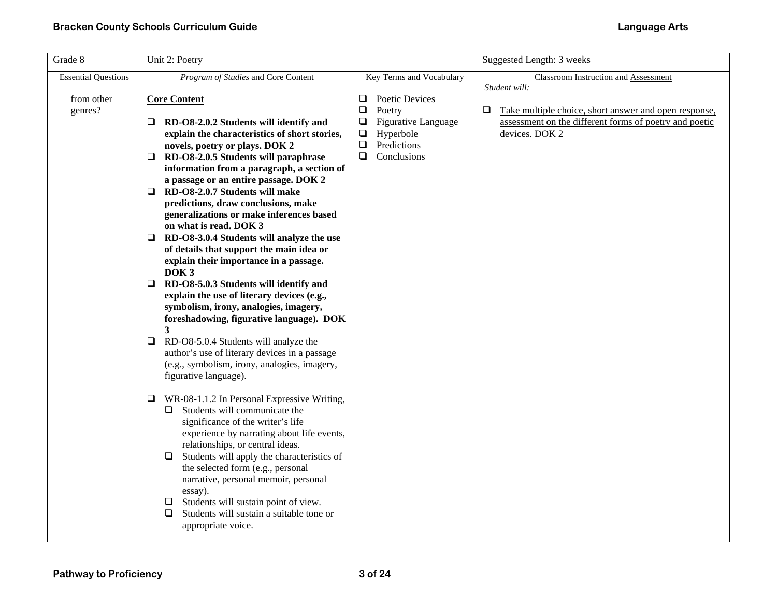| Grade 8                    | Unit 2: Poetry                                                                                                                                                                                                                                                                                                                                                                                                                                                                                                                                                                                                                                                                                                                                                                                                                                                                                                                                                                                                                                                                                                                                                                                                                                                                                                                                                                                                                           | Suggested Length: 3 weeks                                                                                                                                 |                                                                                                                                                         |
|----------------------------|------------------------------------------------------------------------------------------------------------------------------------------------------------------------------------------------------------------------------------------------------------------------------------------------------------------------------------------------------------------------------------------------------------------------------------------------------------------------------------------------------------------------------------------------------------------------------------------------------------------------------------------------------------------------------------------------------------------------------------------------------------------------------------------------------------------------------------------------------------------------------------------------------------------------------------------------------------------------------------------------------------------------------------------------------------------------------------------------------------------------------------------------------------------------------------------------------------------------------------------------------------------------------------------------------------------------------------------------------------------------------------------------------------------------------------------|-----------------------------------------------------------------------------------------------------------------------------------------------------------|---------------------------------------------------------------------------------------------------------------------------------------------------------|
| <b>Essential Questions</b> | Program of Studies and Core Content                                                                                                                                                                                                                                                                                                                                                                                                                                                                                                                                                                                                                                                                                                                                                                                                                                                                                                                                                                                                                                                                                                                                                                                                                                                                                                                                                                                                      | Key Terms and Vocabulary                                                                                                                                  | <b>Classroom Instruction and Assessment</b>                                                                                                             |
| from other<br>genres?      | <b>Core Content</b><br>RD-O8-2.0.2 Students will identify and<br>u.<br>explain the characteristics of short stories,<br>novels, poetry or plays. DOK 2<br>RD-O8-2.0.5 Students will paraphrase<br>Q.<br>information from a paragraph, a section of<br>a passage or an entire passage. DOK 2<br>RD-O8-2.0.7 Students will make<br>□<br>predictions, draw conclusions, make<br>generalizations or make inferences based<br>on what is read. DOK 3<br>$\Box$ RD-O8-3.0.4 Students will analyze the use<br>of details that support the main idea or<br>explain their importance in a passage.<br>DOK <sub>3</sub><br>RD-O8-5.0.3 Students will identify and<br>□<br>explain the use of literary devices (e.g.,<br>symbolism, irony, analogies, imagery,<br>foreshadowing, figurative language). DOK<br>3<br>RD-O8-5.0.4 Students will analyze the<br>u<br>author's use of literary devices in a passage<br>(e.g., symbolism, irony, analogies, imagery,<br>figurative language).<br>WR-08-1.1.2 In Personal Expressive Writing,<br>❏<br>Students will communicate the<br>⊔ ⊢<br>significance of the writer's life<br>experience by narrating about life events,<br>relationships, or central ideas.<br>Students will apply the characteristics of<br>⊔<br>the selected form (e.g., personal<br>narrative, personal memoir, personal<br>essay).<br>Students will sustain point of view.<br>❏<br>Students will sustain a suitable tone or<br>⊔ | $\Box$<br>Poetic Devices<br>$\Box$<br>Poetry<br>$\Box$<br>Figurative Language<br>$\Box$<br>Hyperbole<br>$\square$<br>Predictions<br>$\Box$<br>Conclusions | Student will:<br>Take multiple choice, short answer and open response,<br>⊔<br>assessment on the different forms of poetry and poetic<br>devices. DOK 2 |
|                            | appropriate voice.                                                                                                                                                                                                                                                                                                                                                                                                                                                                                                                                                                                                                                                                                                                                                                                                                                                                                                                                                                                                                                                                                                                                                                                                                                                                                                                                                                                                                       |                                                                                                                                                           |                                                                                                                                                         |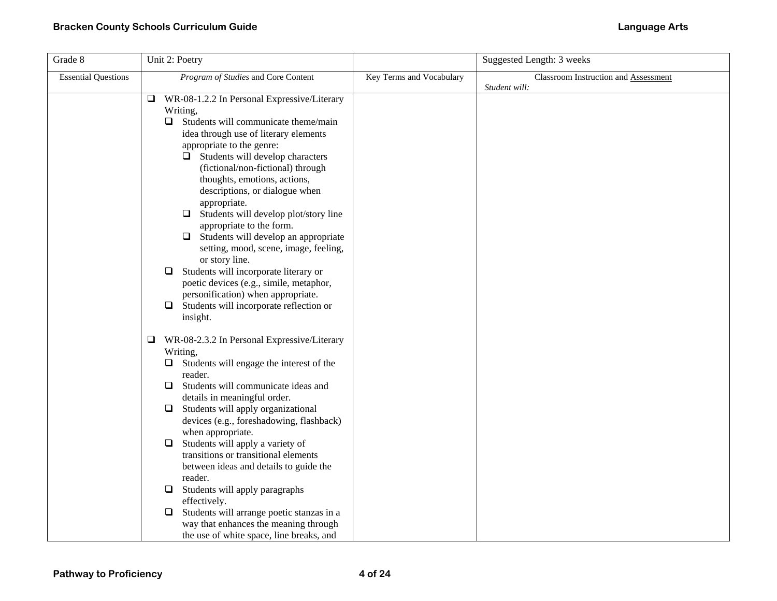| Grade 8                    | Unit 2: Poetry                                                                                                                                                                                                                                                                                                                                                                                                                                                                                                                                                                                                                                                                                                                           |                          | Suggested Length: 3 weeks            |
|----------------------------|------------------------------------------------------------------------------------------------------------------------------------------------------------------------------------------------------------------------------------------------------------------------------------------------------------------------------------------------------------------------------------------------------------------------------------------------------------------------------------------------------------------------------------------------------------------------------------------------------------------------------------------------------------------------------------------------------------------------------------------|--------------------------|--------------------------------------|
| <b>Essential Questions</b> | Program of Studies and Core Content                                                                                                                                                                                                                                                                                                                                                                                                                                                                                                                                                                                                                                                                                                      | Key Terms and Vocabulary | Classroom Instruction and Assessment |
|                            | ❏<br>WR-08-1.2.2 In Personal Expressive/Literary<br>Writing,<br>Students will communicate theme/main<br>$\Box$<br>idea through use of literary elements<br>appropriate to the genre:<br>$\Box$ Students will develop characters<br>(fictional/non-fictional) through<br>thoughts, emotions, actions,<br>descriptions, or dialogue when<br>appropriate.<br>Students will develop plot/story line<br>❏<br>appropriate to the form.<br>Students will develop an appropriate<br>⊔<br>setting, mood, scene, image, feeling,<br>or story line.<br>Students will incorporate literary or<br>❏<br>poetic devices (e.g., simile, metaphor,<br>personification) when appropriate.<br>Students will incorporate reflection or<br>$\Box$<br>insight. |                          | Student will:                        |
|                            | ❏<br>WR-08-2.3.2 In Personal Expressive/Literary<br>Writing,<br>Students will engage the interest of the<br>❏<br>reader.<br>Students will communicate ideas and<br>❏<br>details in meaningful order.<br>Students will apply organizational<br>⊔<br>devices (e.g., foreshadowing, flashback)<br>when appropriate.<br>Students will apply a variety of<br>$\Box$<br>transitions or transitional elements<br>between ideas and details to guide the<br>reader.<br>Students will apply paragraphs<br>⊔<br>effectively.<br>Students will arrange poetic stanzas in a<br>□<br>way that enhances the meaning through<br>the use of white space, line breaks, and                                                                                |                          |                                      |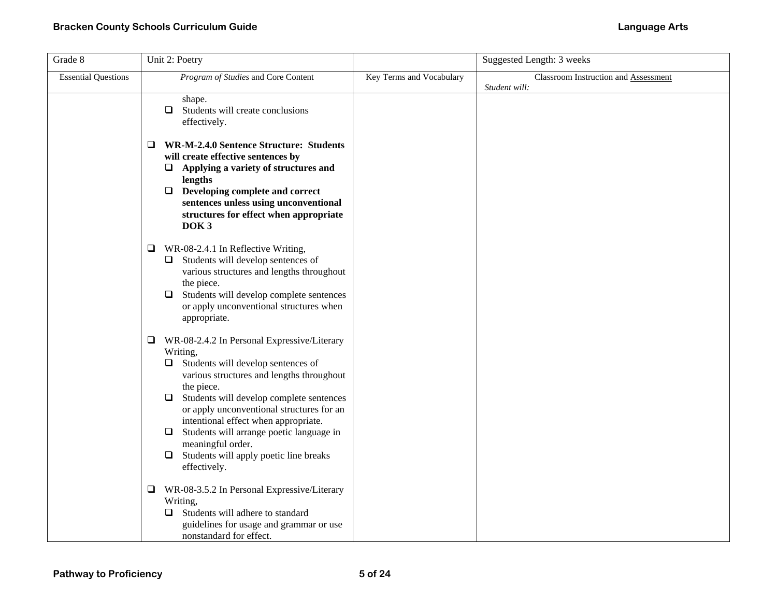| Grade 8                    | Unit 2: Poetry                                                                                                                                                                                                                                                                                                                                                                                                                                            |                          | Suggested Length: 3 weeks                             |
|----------------------------|-----------------------------------------------------------------------------------------------------------------------------------------------------------------------------------------------------------------------------------------------------------------------------------------------------------------------------------------------------------------------------------------------------------------------------------------------------------|--------------------------|-------------------------------------------------------|
| <b>Essential Questions</b> | Program of Studies and Core Content                                                                                                                                                                                                                                                                                                                                                                                                                       | Key Terms and Vocabulary | Classroom Instruction and Assessment<br>Student will: |
|                            | shape.<br>Students will create conclusions<br>$\Box$<br>effectively.                                                                                                                                                                                                                                                                                                                                                                                      |                          |                                                       |
|                            | <b>WR-M-2.4.0 Sentence Structure: Students</b><br>0<br>will create effective sentences by<br>$\Box$ Applying a variety of structures and<br>lengths<br>$\hfill\Box\quad$ Developing complete and correct<br>sentences unless using unconventional<br>structures for effect when appropriate<br>DOK <sub>3</sub>                                                                                                                                           |                          |                                                       |
|                            | WR-08-2.4.1 In Reflective Writing,<br>❏<br>$\Box$ Students will develop sentences of<br>various structures and lengths throughout<br>the piece.<br>Students will develop complete sentences<br>□<br>or apply unconventional structures when<br>appropriate.                                                                                                                                                                                               |                          |                                                       |
|                            | $\Box$ WR-08-2.4.2 In Personal Expressive/Literary<br>Writing,<br>Students will develop sentences of<br>❏<br>various structures and lengths throughout<br>the piece.<br>Students will develop complete sentences<br>□<br>or apply unconventional structures for an<br>intentional effect when appropriate.<br>Students will arrange poetic language in<br>$\Box$<br>meaningful order.<br>Students will apply poetic line breaks<br>$\Box$<br>effectively. |                          |                                                       |
|                            | WR-08-3.5.2 In Personal Expressive/Literary<br>❏<br>Writing,<br>$\Box$ Students will adhere to standard<br>guidelines for usage and grammar or use<br>nonstandard for effect.                                                                                                                                                                                                                                                                             |                          |                                                       |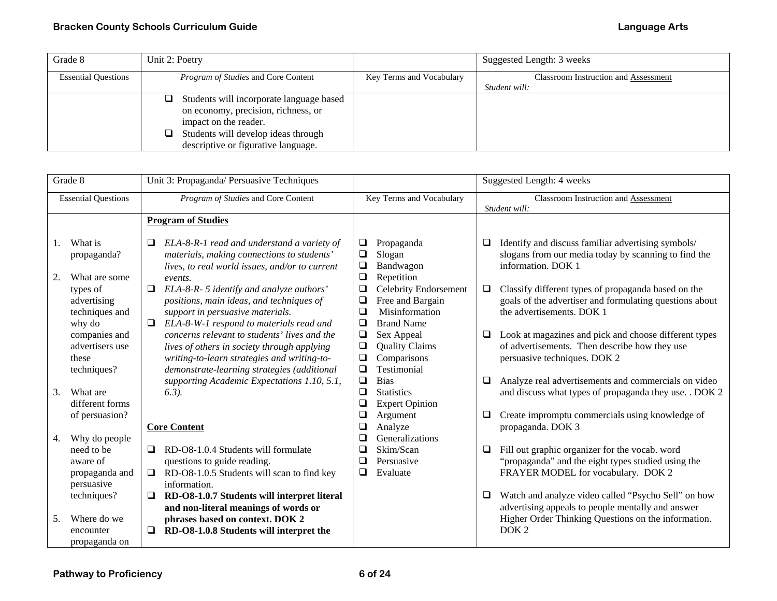| Grade 8                    | Unit 2: Poetry                                |                          | Suggested Length: 3 weeks            |
|----------------------------|-----------------------------------------------|--------------------------|--------------------------------------|
| <b>Essential Questions</b> | <i>Program of Studies</i> and Core Content    | Key Terms and Vocabulary | Classroom Instruction and Assessment |
|                            |                                               |                          | Student will:                        |
|                            | Students will incorporate language based<br>⊔ |                          |                                      |
|                            | on economy, precision, richness, or           |                          |                                      |
|                            | impact on the reader.                         |                          |                                      |
|                            | Students will develop ideas through           |                          |                                      |
|                            | descriptive or figurative language.           |                          |                                      |

| Grade 8                                                                                    | Unit 3: Propaganda/ Persuasive Techniques                                                                                                                                                                                                                                                             | Suggested Length: 4 weeks                                                                                                                                                              |                                                                                                                                                                                                                                                                                                |
|--------------------------------------------------------------------------------------------|-------------------------------------------------------------------------------------------------------------------------------------------------------------------------------------------------------------------------------------------------------------------------------------------------------|----------------------------------------------------------------------------------------------------------------------------------------------------------------------------------------|------------------------------------------------------------------------------------------------------------------------------------------------------------------------------------------------------------------------------------------------------------------------------------------------|
| <b>Essential Questions</b>                                                                 | Program of Studies and Core Content                                                                                                                                                                                                                                                                   | Key Terms and Vocabulary                                                                                                                                                               | Classroom Instruction and Assessment<br>Student will:                                                                                                                                                                                                                                          |
|                                                                                            | <b>Program of Studies</b>                                                                                                                                                                                                                                                                             |                                                                                                                                                                                        |                                                                                                                                                                                                                                                                                                |
| What is<br>propaganda?<br>2.<br>What are some<br>types of<br>advertising<br>techniques and | ELA-8-R-1 read and understand a variety of<br>$\Box$<br>materials, making connections to students'<br>lives, to real world issues, and/or to current<br>events.<br>$\Box$<br>ELA-8-R- 5 identify and analyze authors'<br>positions, main ideas, and techniques of<br>support in persuasive materials. | Propaganda<br>⊔<br>$\Box$<br>Slogan<br>$\Box$<br>Bandwagon<br>$\Box$<br>Repetition<br><b>Celebrity Endorsement</b><br>$\Box$<br>Free and Bargain<br>$\Box$<br>$\Box$<br>Misinformation | Identify and discuss familiar advertising symbols/<br>⊔<br>slogans from our media today by scanning to find the<br>information. DOK 1<br>Classify different types of propaganda based on the<br>$\Box$<br>goals of the advertiser and formulating questions about<br>the advertisements. DOK 1 |
| why do<br>companies and<br>advertisers use<br>these<br>techniques?                         | ELA-8-W-1 respond to materials read and<br>$\Box$<br>concerns relevant to students' lives and the<br>lives of others in society through applying<br>writing-to-learn strategies and writing-to-<br>demonstrate-learning strategies (additional                                                        | $\Box$<br><b>Brand Name</b><br>$\Box$<br>Sex Appeal<br>$\Box$<br><b>Quality Claims</b><br>$\Box$<br>Comparisons<br>Testimonial<br>❏                                                    | Look at magazines and pick and choose different types<br>of advertisements. Then describe how they use<br>persuasive techniques. DOK 2                                                                                                                                                         |
| 3.<br>What are<br>different forms                                                          | supporting Academic Expectations 1.10, 5.1,<br>$(6.3)$ .                                                                                                                                                                                                                                              | $\Box$<br><b>Bias</b><br>$\Box$<br><b>Statistics</b><br>$\Box$<br><b>Expert Opinion</b>                                                                                                | Analyze real advertisements and commercials on video<br>$\Box$<br>and discuss what types of propaganda they use. . DOK 2                                                                                                                                                                       |
| of persuasion?<br>Why do people                                                            | <b>Core Content</b>                                                                                                                                                                                                                                                                                   | $\Box$<br>Argument<br>$\Box$<br>Analyze<br>Generalizations<br>❏                                                                                                                        | Create impromptu commercials using knowledge of<br>Q.<br>propaganda. DOK 3                                                                                                                                                                                                                     |
| 4.<br>need to be<br>aware of<br>propaganda and<br>persuasive                               | RD-O8-1.0.4 Students will formulate<br>$\Box$<br>questions to guide reading.<br>RD-O8-1.0.5 Students will scan to find key<br>information.                                                                                                                                                            | □<br>Skim/Scan<br>Persuasive<br>$\Box$<br>❏<br>Evaluate                                                                                                                                | Fill out graphic organizer for the vocab. word<br>$\Box$<br>"propaganda" and the eight types studied using the<br>FRAYER MODEL for vocabulary. DOK 2                                                                                                                                           |
| techniques?<br>Where do we<br>5.<br>encounter<br>propaganda on                             | RD-O8-1.0.7 Students will interpret literal<br>❏<br>and non-literal meanings of words or<br>phrases based on context. DOK 2<br>RD-O8-1.0.8 Students will interpret the                                                                                                                                |                                                                                                                                                                                        | Watch and analyze video called "Psycho Sell" on how<br>0.<br>advertising appeals to people mentally and answer<br>Higher Order Thinking Questions on the information.<br>DOK <sub>2</sub>                                                                                                      |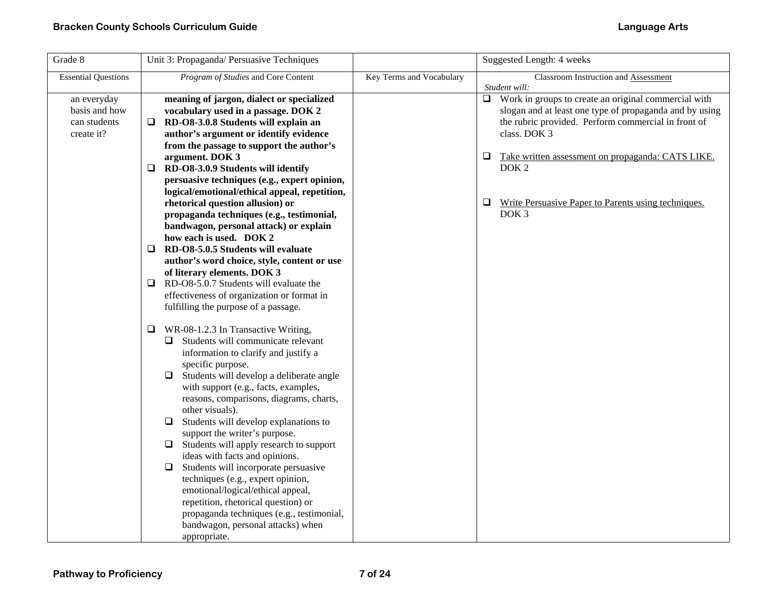| Grade 8                                                    | Unit 3: Propaganda/ Persuasive Techniques                                                                                                                                                                                                                                                                                                                                                                                                                                                                                                                                                                                                                                                                                                                                                                                                                                                     |                          | Suggested Length: 4 weeks                                                                                                                                                                                                                                                                                                                                   |
|------------------------------------------------------------|-----------------------------------------------------------------------------------------------------------------------------------------------------------------------------------------------------------------------------------------------------------------------------------------------------------------------------------------------------------------------------------------------------------------------------------------------------------------------------------------------------------------------------------------------------------------------------------------------------------------------------------------------------------------------------------------------------------------------------------------------------------------------------------------------------------------------------------------------------------------------------------------------|--------------------------|-------------------------------------------------------------------------------------------------------------------------------------------------------------------------------------------------------------------------------------------------------------------------------------------------------------------------------------------------------------|
| <b>Essential Questions</b>                                 | Program of Studies and Core Content                                                                                                                                                                                                                                                                                                                                                                                                                                                                                                                                                                                                                                                                                                                                                                                                                                                           | Key Terms and Vocabulary | Classroom Instruction and Assessment<br>Student will:                                                                                                                                                                                                                                                                                                       |
| an everyday<br>basis and how<br>can students<br>create it? | meaning of jargon, dialect or specialized<br>vocabulary used in a passage. DOK 2<br>RD-O8-3.0.8 Students will explain an<br>Q.<br>author's argument or identify evidence<br>from the passage to support the author's<br>argument. DOK 3<br>RD-O8-3.0.9 Students will identify<br>□<br>persuasive techniques (e.g., expert opinion,<br>logical/emotional/ethical appeal, repetition,<br>rhetorical question allusion) or<br>propaganda techniques (e.g., testimonial,<br>bandwagon, personal attack) or explain<br>how each is used. DOK 2<br>RD-O8-5.0.5 Students will evaluate<br>⊔<br>author's word choice, style, content or use<br>of literary elements. DOK 3<br>$\Box$ RD-O8-5.0.7 Students will evaluate the<br>effectiveness of organization or format in<br>fulfilling the purpose of a passage.<br>$\Box$ WR-08-1.2.3 In Transactive Writing,<br>Students will communicate relevant |                          | $\Box$ Work in groups to create an original commercial with<br>slogan and at least one type of propaganda and by using<br>the rubric provided. Perform commercial in front of<br>class. DOK 3<br>⊔<br>Take written assessment on propaganda: CATS LIKE.<br>DOK <sub>2</sub><br>Write Persuasive Paper to Parents using techniques.<br>⊔<br>DOK <sub>3</sub> |
|                                                            | ⊔<br>information to clarify and justify a<br>specific purpose.<br>Students will develop a deliberate angle<br>0.<br>with support (e.g., facts, examples,<br>reasons, comparisons, diagrams, charts,<br>other visuals).<br>Students will develop explanations to<br>Q.<br>support the writer's purpose.<br>Students will apply research to support<br>□<br>ideas with facts and opinions.<br>Students will incorporate persuasive<br>0.<br>techniques (e.g., expert opinion,<br>emotional/logical/ethical appeal,<br>repetition, rhetorical question) or<br>propaganda techniques (e.g., testimonial,<br>bandwagon, personal attacks) when<br>appropriate.                                                                                                                                                                                                                                     |                          |                                                                                                                                                                                                                                                                                                                                                             |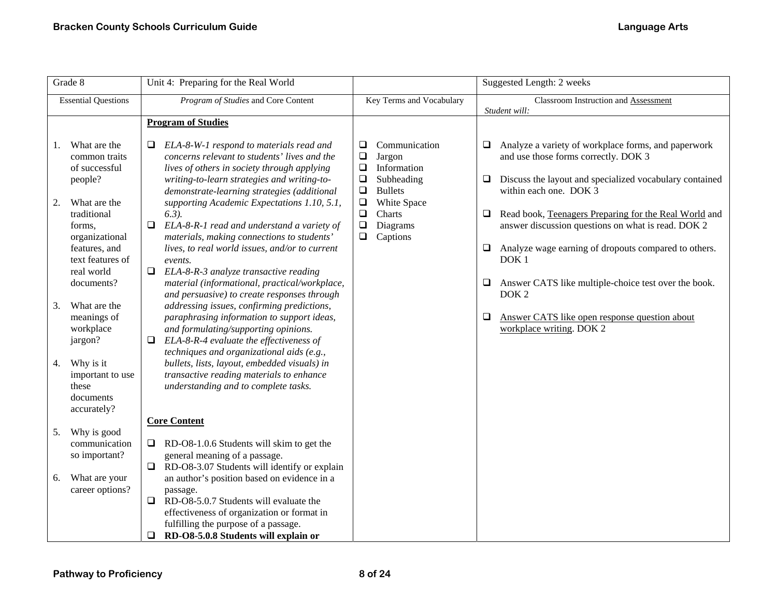|    | Grade 8                                                            | Unit 4: Preparing for the Real World                                                                                                                                                                                                           | Suggested Length: 2 weeks                                                                                                |  |                                                                                                                                                                                                      |
|----|--------------------------------------------------------------------|------------------------------------------------------------------------------------------------------------------------------------------------------------------------------------------------------------------------------------------------|--------------------------------------------------------------------------------------------------------------------------|--|------------------------------------------------------------------------------------------------------------------------------------------------------------------------------------------------------|
|    | <b>Essential Questions</b>                                         | Program of Studies and Core Content                                                                                                                                                                                                            | Key Terms and Vocabulary                                                                                                 |  | Classroom Instruction and Assessment<br>Student will:                                                                                                                                                |
|    |                                                                    | <b>Program of Studies</b>                                                                                                                                                                                                                      |                                                                                                                          |  |                                                                                                                                                                                                      |
| 1. | What are the<br>common traits<br>of successful<br>people?          | ELA-8-W-1 respond to materials read and<br>Q.<br>concerns relevant to students' lives and the<br>lives of others in society through applying<br>writing-to-learn strategies and writing-to-<br>demonstrate-learning strategies (additional     | $\Box$<br>Communication<br>$\Box$<br>Jargon<br>$\Box$<br>Information<br>$\Box$<br>Subheading<br>$\Box$<br><b>Bullets</b> |  | $\Box$<br>Analyze a variety of workplace forms, and paperwork<br>and use those forms correctly. DOK 3<br>Discuss the layout and specialized vocabulary contained<br>$\Box$<br>within each one. DOK 3 |
| 2. | What are the<br>traditional<br>forms,<br>organizational            | supporting Academic Expectations 1.10, 5.1,<br>$(6.3)$ .<br>ELA-8-R-1 read and understand a variety of<br>$\Box$<br>materials, making connections to students'                                                                                 | $\Box$<br>White Space<br>$\Box$<br>Charts<br>$\Box$<br>Diagrams<br>$\Box$<br>Captions                                    |  | Read book, Teenagers Preparing for the Real World and<br>$\Box$<br>answer discussion questions on what is read. DOK 2                                                                                |
|    | features, and<br>text features of<br>real world                    | lives, to real world issues, and/or to current<br>events.<br>$\Box$<br>ELA-8-R-3 analyze transactive reading                                                                                                                                   |                                                                                                                          |  | Analyze wage earning of dropouts compared to others.<br>$\Box$<br>DOK <sub>1</sub>                                                                                                                   |
| 3. | documents?<br>What are the<br>meanings of                          | material (informational, practical/workplace,<br>and persuasive) to create responses through<br>addressing issues, confirming predictions,<br>paraphrasing information to support ideas,                                                       |                                                                                                                          |  | Answer CATS like multiple-choice test over the book.<br>$\Box$<br>DOK <sub>2</sub><br>$\Box$<br>Answer CATS like open response question about                                                        |
|    | workplace<br>jargon?                                               | and formulating/supporting opinions.<br>ELA-8-R-4 evaluate the effectiveness of<br>Q.<br>techniques and organizational aids (e.g.,                                                                                                             |                                                                                                                          |  | workplace writing. DOK 2                                                                                                                                                                             |
| 4. | Why is it<br>important to use<br>these<br>documents<br>accurately? | bullets, lists, layout, embedded visuals) in<br>transactive reading materials to enhance<br>understanding and to complete tasks.                                                                                                               |                                                                                                                          |  |                                                                                                                                                                                                      |
|    | Why is good                                                        | <b>Core Content</b>                                                                                                                                                                                                                            |                                                                                                                          |  |                                                                                                                                                                                                      |
| 5. | communication<br>so important?                                     | RD-O8-1.0.6 Students will skim to get the<br>$\Box$<br>general meaning of a passage.<br>RD-O8-3.07 Students will identify or explain<br>$\Box$                                                                                                 |                                                                                                                          |  |                                                                                                                                                                                                      |
| 6. | What are your<br>career options?                                   | an author's position based on evidence in a<br>passage.<br>RD-O8-5.0.7 Students will evaluate the<br>$\Box$<br>effectiveness of organization or format in<br>fulfilling the purpose of a passage.<br>RD-O8-5.0.8 Students will explain or<br>❏ |                                                                                                                          |  |                                                                                                                                                                                                      |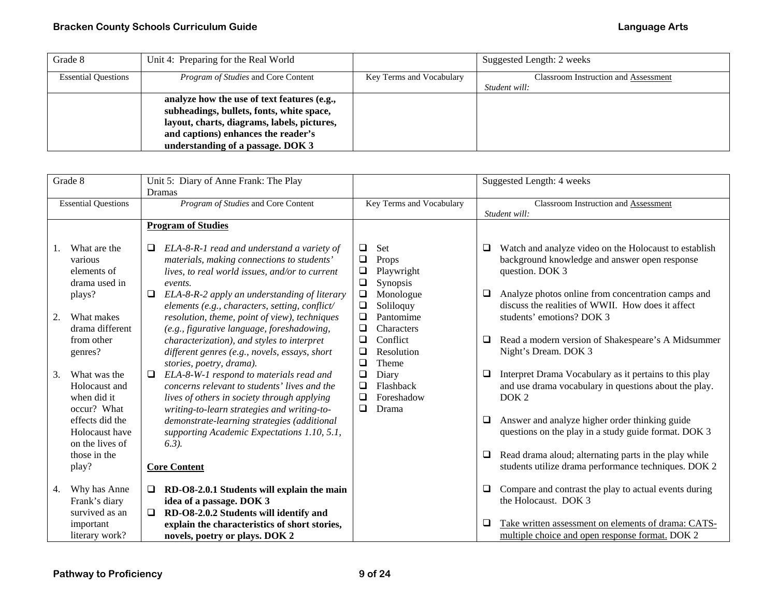| Grade 8                    | Unit 4: Preparing for the Real World                                                                                                                                                                                |                          | Suggested Length: 2 weeks                                    |
|----------------------------|---------------------------------------------------------------------------------------------------------------------------------------------------------------------------------------------------------------------|--------------------------|--------------------------------------------------------------|
| <b>Essential Questions</b> | <i>Program of Studies</i> and Core Content                                                                                                                                                                          | Key Terms and Vocabulary | <b>Classroom Instruction and Assessment</b><br>Student will: |
|                            | analyze how the use of text features (e.g.,<br>subheadings, bullets, fonts, white space,<br>layout, charts, diagrams, labels, pictures,<br>and captions) enhances the reader's<br>understanding of a passage. DOK 3 |                          |                                                              |

| Grade 8                                                           | Unit 5: Diary of Anne Frank: The Play<br><b>Dramas</b>                                                                                                                                             |                                                                                 | Suggested Length: 4 weeks                                                                                                                |
|-------------------------------------------------------------------|----------------------------------------------------------------------------------------------------------------------------------------------------------------------------------------------------|---------------------------------------------------------------------------------|------------------------------------------------------------------------------------------------------------------------------------------|
| <b>Essential Questions</b>                                        | Program of Studies and Core Content                                                                                                                                                                | Key Terms and Vocabulary                                                        | Classroom Instruction and Assessment<br>Student will:                                                                                    |
| What are the                                                      | <b>Program of Studies</b><br>ELA-8-R-1 read and understand a variety of<br>□                                                                                                                       | ❏<br>Set                                                                        | Watch and analyze video on the Holocaust to establish<br>⊔                                                                               |
| various<br>elements of<br>drama used in                           | materials, making connections to students'<br>lives, to real world issues, and/or to current<br>events.                                                                                            | ❏<br>Props<br>$\Box$<br>Playwright<br>$\Box$<br>Synopsis<br>$\Box$<br>Monologue | background knowledge and answer open response<br>question. DOK 3<br>Analyze photos online from concentration camps and<br>□              |
| plays?<br>2.<br>What makes<br>drama different                     | ELA-8-R-2 apply an understanding of literary<br>□<br>elements (e.g., characters, setting, conflict/<br>resolution, theme, point of view), techniques<br>(e.g., figurative language, foreshadowing, | $\Box$<br>Soliloquy<br>❏<br>Pantomime<br>$\Box$<br>Characters                   | discuss the realities of WWII. How does it affect<br>students' emotions? DOK 3                                                           |
| from other<br>genres?                                             | characterization), and styles to interpret<br>different genres (e.g., novels, essays, short<br>stories, poetry, drama).                                                                            | ❏<br>Conflict<br>Resolution<br>❏<br>$\Box$<br><b>Theme</b>                      | Read a modern version of Shakespeare's A Midsummer<br>❏<br>Night's Dream. DOK 3                                                          |
| 3.<br>What was the<br>Holocaust and<br>when did it<br>occur? What | ELA-8-W-1 respond to materials read and<br>$\Box$<br>concerns relevant to students' lives and the<br>lives of others in society through applying<br>writing-to-learn strategies and writing-to-    | $\Box$<br>Diary<br>❏<br>Flashback<br>$\Box$<br>Foreshadow<br>❏<br>Drama         | Interpret Drama Vocabulary as it pertains to this play<br>⊔<br>and use drama vocabulary in questions about the play.<br>DOK <sub>2</sub> |
| effects did the<br>Holocaust have<br>on the lives of              | demonstrate-learning strategies (additional<br>supporting Academic Expectations 1.10, 5.1,<br>$(6.3)$ .                                                                                            |                                                                                 | Answer and analyze higher order thinking guide<br>❏<br>questions on the play in a study guide format. DOK 3                              |
| those in the<br>play?                                             | <b>Core Content</b>                                                                                                                                                                                |                                                                                 | Read drama aloud; alternating parts in the play while<br>□<br>students utilize drama performance techniques. DOK 2                       |
| Why has Anne<br>4.<br>Frank's diary<br>survived as an             | RD-O8-2.0.1 Students will explain the main<br>$\Box$<br>idea of a passage. DOK 3<br>RD-O8-2.0.2 Students will identify and<br>$\Box$                                                               |                                                                                 | Compare and contrast the play to actual events during<br>❏<br>the Holocaust. DOK 3                                                       |
| important<br>literary work?                                       | explain the characteristics of short stories,<br>novels, poetry or plays. DOK 2                                                                                                                    |                                                                                 | Take written assessment on elements of drama: CATS-<br>⊔<br>multiple choice and open response format. DOK 2                              |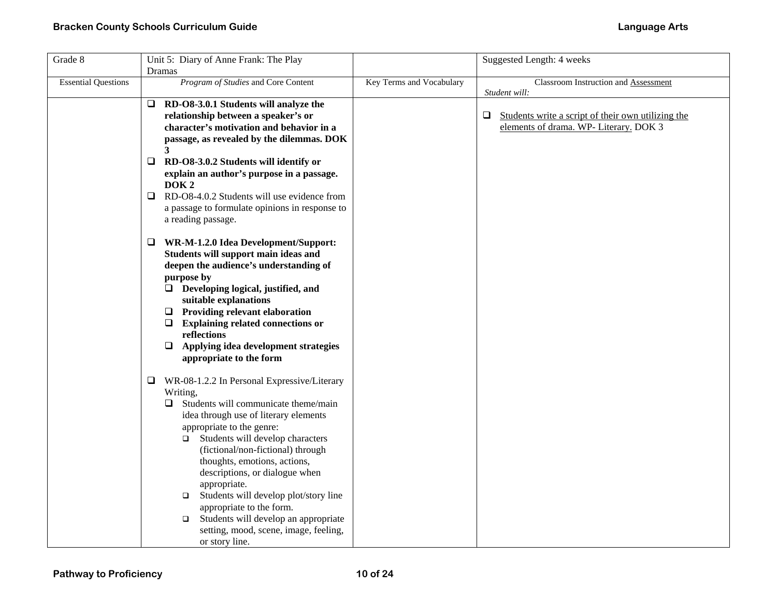| Grade 8                    | Unit 5: Diary of Anne Frank: The Play                                                                                                                                                                                                                                                                                                                                                                                                                                                                                                            |                          | Suggested Length: 4 weeks                                                                              |
|----------------------------|--------------------------------------------------------------------------------------------------------------------------------------------------------------------------------------------------------------------------------------------------------------------------------------------------------------------------------------------------------------------------------------------------------------------------------------------------------------------------------------------------------------------------------------------------|--------------------------|--------------------------------------------------------------------------------------------------------|
|                            | Dramas                                                                                                                                                                                                                                                                                                                                                                                                                                                                                                                                           |                          |                                                                                                        |
| <b>Essential Questions</b> | Program of Studies and Core Content                                                                                                                                                                                                                                                                                                                                                                                                                                                                                                              | Key Terms and Vocabulary | Classroom Instruction and Assessment<br>Student will:                                                  |
|                            | RD-O8-3.0.1 Students will analyze the<br>□<br>relationship between a speaker's or<br>character's motivation and behavior in a<br>passage, as revealed by the dilemmas. DOK<br>$\mathbf{3}$                                                                                                                                                                                                                                                                                                                                                       |                          | $\Box$<br>Students write a script of their own utilizing the<br>elements of drama. WP- Literary. DOK 3 |
|                            | $\Box$<br>RD-O8-3.0.2 Students will identify or<br>explain an author's purpose in a passage.<br>DOK <sub>2</sub><br>RD-O8-4.0.2 Students will use evidence from<br>$\Box$<br>a passage to formulate opinions in response to                                                                                                                                                                                                                                                                                                                      |                          |                                                                                                        |
|                            | a reading passage.                                                                                                                                                                                                                                                                                                                                                                                                                                                                                                                               |                          |                                                                                                        |
|                            | WR-M-1.2.0 Idea Development/Support:<br>□<br>Students will support main ideas and<br>deepen the audience's understanding of<br>purpose by<br>$\Box$ Developing logical, justified, and<br>suitable explanations<br>$\Box$ Providing relevant elaboration<br>$\Box$ Explaining related connections or<br>reflections<br>$\Box$ Applying idea development strategies<br>appropriate to the form                                                                                                                                                    |                          |                                                                                                        |
|                            | □<br>WR-08-1.2.2 In Personal Expressive/Literary<br>Writing,<br>Students will communicate theme/main<br>□<br>idea through use of literary elements<br>appropriate to the genre:<br>Students will develop characters<br>$\Box$<br>(fictional/non-fictional) through<br>thoughts, emotions, actions,<br>descriptions, or dialogue when<br>appropriate.<br>Students will develop plot/story line<br>$\Box$<br>appropriate to the form.<br>Students will develop an appropriate<br>$\Box$<br>setting, mood, scene, image, feeling,<br>or story line. |                          |                                                                                                        |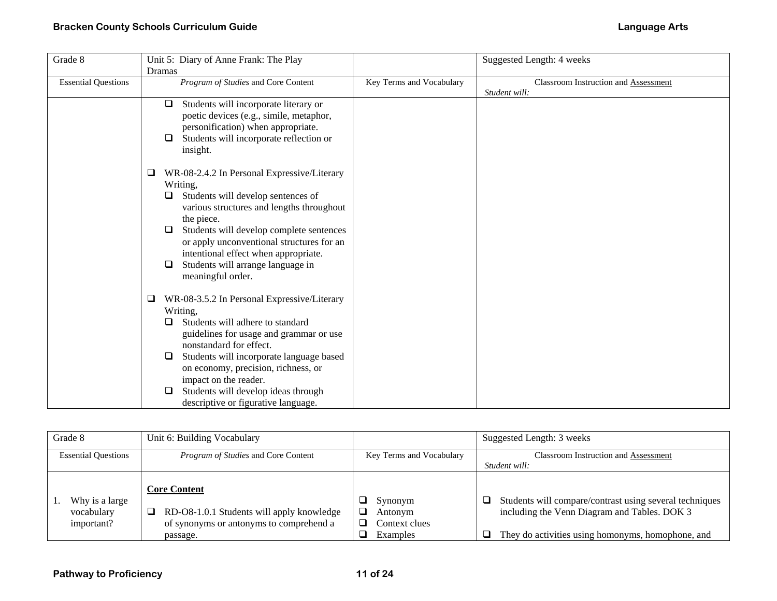| Grade 8                    | Unit 5: Diary of Anne Frank: The Play            |                          | Suggested Length: 4 weeks            |
|----------------------------|--------------------------------------------------|--------------------------|--------------------------------------|
|                            | Dramas                                           |                          |                                      |
| <b>Essential Questions</b> | Program of Studies and Core Content              | Key Terms and Vocabulary | Classroom Instruction and Assessment |
|                            |                                                  |                          | Student will:                        |
|                            | Students will incorporate literary or<br>$\Box$  |                          |                                      |
|                            | poetic devices (e.g., simile, metaphor,          |                          |                                      |
|                            | personification) when appropriate.               |                          |                                      |
|                            | Students will incorporate reflection or<br>□     |                          |                                      |
|                            | insight.                                         |                          |                                      |
|                            |                                                  |                          |                                      |
|                            | WR-08-2.4.2 In Personal Expressive/Literary<br>⊔ |                          |                                      |
|                            |                                                  |                          |                                      |
|                            | Writing,                                         |                          |                                      |
|                            | Students will develop sentences of<br>⊔          |                          |                                      |
|                            | various structures and lengths throughout        |                          |                                      |
|                            | the piece.                                       |                          |                                      |
|                            | Students will develop complete sentences<br>⊔    |                          |                                      |
|                            | or apply unconventional structures for an        |                          |                                      |
|                            | intentional effect when appropriate.             |                          |                                      |
|                            | Students will arrange language in<br>□           |                          |                                      |
|                            | meaningful order.                                |                          |                                      |
|                            |                                                  |                          |                                      |
|                            | WR-08-3.5.2 In Personal Expressive/Literary<br>□ |                          |                                      |
|                            | Writing,                                         |                          |                                      |
|                            | Students will adhere to standard<br>⊔            |                          |                                      |
|                            | guidelines for usage and grammar or use          |                          |                                      |
|                            | nonstandard for effect.                          |                          |                                      |
|                            |                                                  |                          |                                      |
|                            | Students will incorporate language based<br>□    |                          |                                      |
|                            | on economy, precision, richness, or              |                          |                                      |
|                            | impact on the reader.                            |                          |                                      |
|                            | Students will develop ideas through              |                          |                                      |
|                            | descriptive or figurative language.              |                          |                                      |

| Grade 8                                    | Unit 6: Building Vocabulary                                                                                                  |                                                 | Suggested Length: 3 weeks                                                                                                                                         |
|--------------------------------------------|------------------------------------------------------------------------------------------------------------------------------|-------------------------------------------------|-------------------------------------------------------------------------------------------------------------------------------------------------------------------|
| <b>Essential Questions</b>                 | <i>Program of Studies</i> and Core Content                                                                                   | Key Terms and Vocabulary                        | <b>Classroom Instruction and Assessment</b>                                                                                                                       |
|                                            |                                                                                                                              |                                                 | Student will:                                                                                                                                                     |
| Why is a large<br>vocabulary<br>important? | <b>Core Content</b><br>RD-O8-1.0.1 Students will apply knowledge<br>ل<br>of synonyms or antonyms to comprehend a<br>passage. | Synonym<br>Antonym<br>Context clues<br>Examples | Students will compare/contrast using several techniques<br>⊔<br>including the Venn Diagram and Tables. DOK 3<br>They do activities using homonyms, homophone, and |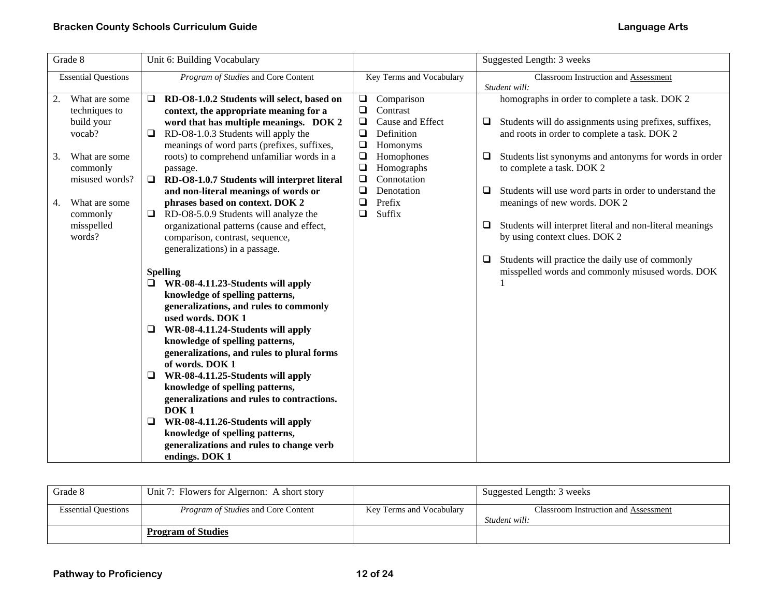| Grade 8                                                                                                                                                                | Unit 6: Building Vocabulary                                                                                                                                                                                                                                                                                                                                                                                                                                                                                                                                                                                                                                                                                                                                                                                                                                                                                                                                                                                                                                                                                                                                                                     |                                                                                                                                                                                                                                                                 | Suggested Length: 3 weeks                                                                                                                                                                                                                                                                                                                                                                                                                                                                                                                                                    |
|------------------------------------------------------------------------------------------------------------------------------------------------------------------------|-------------------------------------------------------------------------------------------------------------------------------------------------------------------------------------------------------------------------------------------------------------------------------------------------------------------------------------------------------------------------------------------------------------------------------------------------------------------------------------------------------------------------------------------------------------------------------------------------------------------------------------------------------------------------------------------------------------------------------------------------------------------------------------------------------------------------------------------------------------------------------------------------------------------------------------------------------------------------------------------------------------------------------------------------------------------------------------------------------------------------------------------------------------------------------------------------|-----------------------------------------------------------------------------------------------------------------------------------------------------------------------------------------------------------------------------------------------------------------|------------------------------------------------------------------------------------------------------------------------------------------------------------------------------------------------------------------------------------------------------------------------------------------------------------------------------------------------------------------------------------------------------------------------------------------------------------------------------------------------------------------------------------------------------------------------------|
| <b>Essential Questions</b>                                                                                                                                             | Program of Studies and Core Content                                                                                                                                                                                                                                                                                                                                                                                                                                                                                                                                                                                                                                                                                                                                                                                                                                                                                                                                                                                                                                                                                                                                                             | Key Terms and Vocabulary                                                                                                                                                                                                                                        | <b>Classroom Instruction and Assessment</b><br>Student will:                                                                                                                                                                                                                                                                                                                                                                                                                                                                                                                 |
| What are some<br>techniques to<br>build your<br>vocab?<br>3.<br>What are some<br>commonly<br>misused words?<br>What are some<br>4.<br>commonly<br>misspelled<br>words? | RD-O8-1.0.2 Students will select, based on<br>$\Box$<br>context, the appropriate meaning for a<br>word that has multiple meanings. DOK 2<br>RD-O8-1.0.3 Students will apply the<br>meanings of word parts (prefixes, suffixes,<br>roots) to comprehend unfamiliar words in a<br>passage.<br>RD-O8-1.0.7 Students will interpret literal<br>$\Box$<br>and non-literal meanings of words or<br>phrases based on context. DOK 2<br>RD-O8-5.0.9 Students will analyze the<br>$\Box$<br>organizational patterns (cause and effect,<br>comparison, contrast, sequence,<br>generalizations) in a passage.<br><b>Spelling</b><br>WR-08-4.11.23-Students will apply<br>knowledge of spelling patterns,<br>generalizations, and rules to commonly<br>used words. DOK 1<br>WR-08-4.11.24-Students will apply<br>⊔<br>knowledge of spelling patterns,<br>generalizations, and rules to plural forms<br>of words. DOK 1<br>WR-08-4.11.25-Students will apply<br>knowledge of spelling patterns,<br>generalizations and rules to contractions.<br>DOK <sub>1</sub><br>WR-08-4.11.26-Students will apply<br>⊔<br>knowledge of spelling patterns,<br>generalizations and rules to change verb<br>endings. DOK 1 | Comparison<br>$\Box$<br>Contrast<br>$\Box$<br>Cause and Effect<br>$\Box$<br>$\Box$<br>Definition<br>$\Box$<br>Homonyms<br>$\Box$<br>Homophones<br>$\Box$<br>Homographs<br>Connotation<br>$\Box$<br>$\Box$<br>Denotation<br>$\Box$<br>Prefix<br>$\Box$<br>Suffix | homographs in order to complete a task. DOK 2<br>Students will do assignments using prefixes, suffixes,<br>⊔<br>and roots in order to complete a task. DOK 2<br>Students list synonyms and antonyms for words in order<br>⊔<br>to complete a task. DOK 2<br>Students will use word parts in order to understand the<br>□<br>meanings of new words. DOK 2<br>Students will interpret literal and non-literal meanings<br>□<br>by using context clues. DOK 2<br>Students will practice the daily use of commonly<br>$\Box$<br>misspelled words and commonly misused words. DOK |

| Grade 8                    | Unit 7: Flowers for Algernon: A short story |                          | Suggested Length: 3 weeks                                    |
|----------------------------|---------------------------------------------|--------------------------|--------------------------------------------------------------|
| <b>Essential Ouestions</b> | <i>Program of Studies</i> and Core Content  | Key Terms and Vocabulary | <b>Classroom Instruction and Assessment</b><br>Student will: |
|                            |                                             |                          |                                                              |
|                            | <b>Program of Studies</b>                   |                          |                                                              |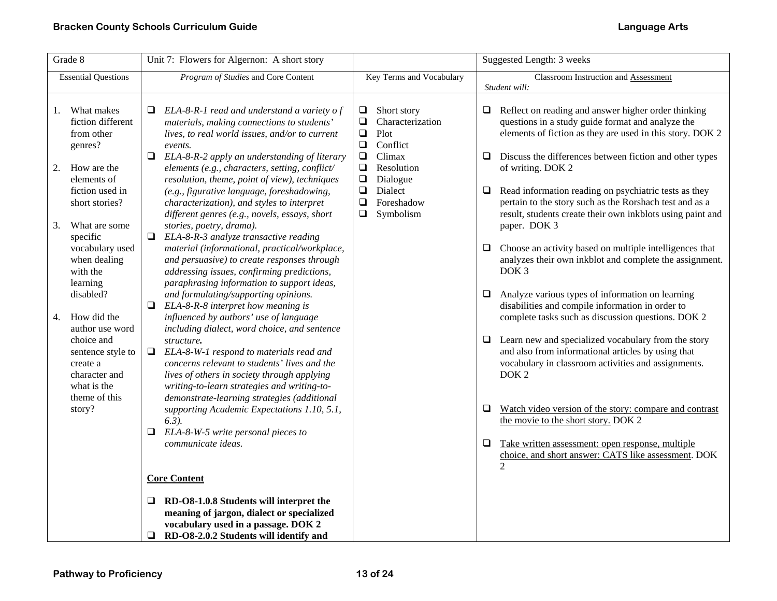| Grade 8                                                                                                                                                                                                                                                                                                                                                                                           | Unit 7: Flowers for Algernon: A short story                                                                                                                                                                                                                                                                                                                                                                                                                                                                                                                                                                                                                                                                                                                                                                                                                                                                                                                                                                                                                                                                                                                                                                                                                                                                                                                                                                                       |                                                                                                                                                                                                                                   | Suggested Length: 3 weeks                                                                                                                                                                                                                                                                                                                                                                                                                                                                                                                                                                                                                                                                                                                                                                                                                                                                                                                                                                                                                                                                                                                                                                                                                       |
|---------------------------------------------------------------------------------------------------------------------------------------------------------------------------------------------------------------------------------------------------------------------------------------------------------------------------------------------------------------------------------------------------|-----------------------------------------------------------------------------------------------------------------------------------------------------------------------------------------------------------------------------------------------------------------------------------------------------------------------------------------------------------------------------------------------------------------------------------------------------------------------------------------------------------------------------------------------------------------------------------------------------------------------------------------------------------------------------------------------------------------------------------------------------------------------------------------------------------------------------------------------------------------------------------------------------------------------------------------------------------------------------------------------------------------------------------------------------------------------------------------------------------------------------------------------------------------------------------------------------------------------------------------------------------------------------------------------------------------------------------------------------------------------------------------------------------------------------------|-----------------------------------------------------------------------------------------------------------------------------------------------------------------------------------------------------------------------------------|-------------------------------------------------------------------------------------------------------------------------------------------------------------------------------------------------------------------------------------------------------------------------------------------------------------------------------------------------------------------------------------------------------------------------------------------------------------------------------------------------------------------------------------------------------------------------------------------------------------------------------------------------------------------------------------------------------------------------------------------------------------------------------------------------------------------------------------------------------------------------------------------------------------------------------------------------------------------------------------------------------------------------------------------------------------------------------------------------------------------------------------------------------------------------------------------------------------------------------------------------|
| <b>Essential Questions</b>                                                                                                                                                                                                                                                                                                                                                                        | Program of Studies and Core Content                                                                                                                                                                                                                                                                                                                                                                                                                                                                                                                                                                                                                                                                                                                                                                                                                                                                                                                                                                                                                                                                                                                                                                                                                                                                                                                                                                                               | Key Terms and Vocabulary                                                                                                                                                                                                          | Classroom Instruction and Assessment                                                                                                                                                                                                                                                                                                                                                                                                                                                                                                                                                                                                                                                                                                                                                                                                                                                                                                                                                                                                                                                                                                                                                                                                            |
| What makes<br>1.<br>fiction different<br>from other<br>genres?<br>2. How are the<br>elements of<br>fiction used in<br>short stories?<br>What are some<br>3.<br>specific<br>vocabulary used<br>when dealing<br>with the<br>learning<br>disabled?<br>How did the<br>4.<br>author use word<br>choice and<br>sentence style to<br>create a<br>character and<br>what is the<br>theme of this<br>story? | ELA-8-R-1 read and understand a variety of<br>⊔<br>materials, making connections to students'<br>lives, to real world issues, and/or to current<br>events.<br>$\Box$ ELA-8-R-2 apply an understanding of literary<br>elements (e.g., characters, setting, conflict/<br>resolution, theme, point of view), techniques<br>(e.g., figurative language, foreshadowing,<br>characterization), and styles to interpret<br>different genres (e.g., novels, essays, short<br>stories, poetry, drama).<br>ELA-8-R-3 analyze transactive reading<br>$\Box$<br>material (informational, practical/workplace,<br>and persuasive) to create responses through<br>addressing issues, confirming predictions,<br>paraphrasing information to support ideas,<br>and formulating/supporting opinions.<br>0<br>ELA-8-R-8 interpret how meaning is<br>influenced by authors' use of language<br>including dialect, word choice, and sentence<br>structure.<br>ELA-8-W-1 respond to materials read and<br>❏<br>concerns relevant to students' lives and the<br>lives of others in society through applying<br>writing-to-learn strategies and writing-to-<br>demonstrate-learning strategies (additional<br>supporting Academic Expectations 1.10, 5.1,<br>$6.3$ ).<br>ELA-8-W-5 write personal pieces to<br>communicate ideas.<br><b>Core Content</b><br>$\Box$ RD-O8-1.0.8 Students will interpret the<br>meaning of jargon, dialect or specialized | Short story<br>$\Box$<br>Characterization<br>$\Box$<br>$\Box$<br>Plot<br>$\Box$<br>Conflict<br>Climax<br>$\Box$<br>$\Box$<br>Resolution<br>$\Box$<br>Dialogue<br>$\Box$<br>Dialect<br>$\Box$<br>Foreshadow<br>Symbolism<br>$\Box$ | Student will:<br>Reflect on reading and answer higher order thinking<br>⊔<br>questions in a study guide format and analyze the<br>elements of fiction as they are used in this story. DOK 2<br>Discuss the differences between fiction and other types<br>⊔<br>of writing. DOK 2<br>Read information reading on psychiatric tests as they<br>□<br>pertain to the story such as the Rorshach test and as a<br>result, students create their own inkblots using paint and<br>paper. DOK 3<br>Choose an activity based on multiple intelligences that<br>□<br>analyzes their own inkblot and complete the assignment.<br>DOK <sub>3</sub><br>Analyze various types of information on learning<br>⊔<br>disabilities and compile information in order to<br>complete tasks such as discussion questions. DOK 2<br>Learn new and specialized vocabulary from the story<br>⊔<br>and also from informational articles by using that<br>vocabulary in classroom activities and assignments.<br>DOK <sub>2</sub><br>Watch video version of the story: compare and contrast<br>❏<br>the movie to the short story. DOK 2<br>Q.<br>Take written assessment: open response, multiple<br>choice, and short answer: CATS like assessment. DOK<br>$\mathfrak{D}$ |
|                                                                                                                                                                                                                                                                                                                                                                                                   | vocabulary used in a passage. DOK 2<br>$\Box$ RD-O8-2.0.2 Students will identify and                                                                                                                                                                                                                                                                                                                                                                                                                                                                                                                                                                                                                                                                                                                                                                                                                                                                                                                                                                                                                                                                                                                                                                                                                                                                                                                                              |                                                                                                                                                                                                                                   |                                                                                                                                                                                                                                                                                                                                                                                                                                                                                                                                                                                                                                                                                                                                                                                                                                                                                                                                                                                                                                                                                                                                                                                                                                                 |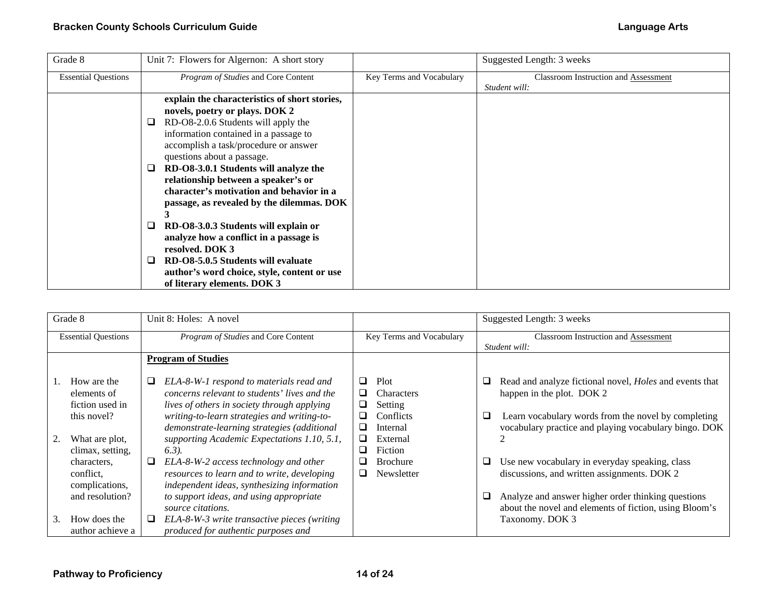| Grade 8                    | Unit 7: Flowers for Algernon: A short story   |                          | Suggested Length: 3 weeks            |
|----------------------------|-----------------------------------------------|--------------------------|--------------------------------------|
| <b>Essential Questions</b> | Program of Studies and Core Content           | Key Terms and Vocabulary | Classroom Instruction and Assessment |
|                            |                                               |                          | Student will:                        |
|                            | explain the characteristics of short stories, |                          |                                      |
|                            | novels, poetry or plays. DOK 2                |                          |                                      |
|                            | RD-O8-2.0.6 Students will apply the<br>⊔      |                          |                                      |
|                            | information contained in a passage to         |                          |                                      |
|                            | accomplish a task/procedure or answer         |                          |                                      |
|                            | questions about a passage.                    |                          |                                      |
|                            | RD-O8-3.0.1 Students will analyze the<br>⊔    |                          |                                      |
|                            | relationship between a speaker's or           |                          |                                      |
|                            | character's motivation and behavior in a      |                          |                                      |
|                            | passage, as revealed by the dilemmas. DOK     |                          |                                      |
|                            |                                               |                          |                                      |
|                            | RD-O8-3.0.3 Students will explain or<br>⊔     |                          |                                      |
|                            | analyze how a conflict in a passage is        |                          |                                      |
|                            | resolved. DOK 3                               |                          |                                      |
|                            | RD-O8-5.0.5 Students will evaluate<br>⊔       |                          |                                      |
|                            | author's word choice, style, content or use   |                          |                                      |
|                            | of literary elements. DOK 3                   |                          |                                      |

| Grade 8                                                                                                                                                             | Unit 8: Holes: A novel                                                                                                                                                                                                                                                                                                                                                                                                                                                                                            |                                                                                                                                                             | Suggested Length: 3 weeks                                                                                                                                                                                                                                                                                                                                                                                                                        |
|---------------------------------------------------------------------------------------------------------------------------------------------------------------------|-------------------------------------------------------------------------------------------------------------------------------------------------------------------------------------------------------------------------------------------------------------------------------------------------------------------------------------------------------------------------------------------------------------------------------------------------------------------------------------------------------------------|-------------------------------------------------------------------------------------------------------------------------------------------------------------|--------------------------------------------------------------------------------------------------------------------------------------------------------------------------------------------------------------------------------------------------------------------------------------------------------------------------------------------------------------------------------------------------------------------------------------------------|
| <b>Essential Questions</b>                                                                                                                                          | <i>Program of Studies</i> and Core Content                                                                                                                                                                                                                                                                                                                                                                                                                                                                        | Key Terms and Vocabulary                                                                                                                                    | <b>Classroom Instruction and Assessment</b>                                                                                                                                                                                                                                                                                                                                                                                                      |
|                                                                                                                                                                     |                                                                                                                                                                                                                                                                                                                                                                                                                                                                                                                   |                                                                                                                                                             | Student will:                                                                                                                                                                                                                                                                                                                                                                                                                                    |
|                                                                                                                                                                     | <b>Program of Studies</b>                                                                                                                                                                                                                                                                                                                                                                                                                                                                                         |                                                                                                                                                             |                                                                                                                                                                                                                                                                                                                                                                                                                                                  |
| How are the<br>elements of<br>fiction used in<br>this novel?<br>What are plot,<br>climax, setting,<br>characters.<br>conflict.<br>complications,<br>and resolution? | Q<br>ELA-8-W-1 respond to materials read and<br>concerns relevant to students' lives and the<br>lives of others in society through applying<br>writing-to-learn strategies and writing-to-<br>demonstrate-learning strategies (additional<br>supporting Academic Expectations 1.10, 5.1,<br>$(6.3)$ .<br>ELA-8-W-2 access technology and other<br>⊔<br>resources to learn and to write, developing<br>independent ideas, synthesizing information<br>to support ideas, and using appropriate<br>source citations. | Plot<br>⊔<br>Characters<br>⊔<br>Setting<br>⊔<br>Conflicts<br>ப<br>◻<br>Internal<br>◻<br>External<br>Fiction<br>□<br><b>Brochure</b><br>ப<br>Newsletter<br>ப | Read and analyze fictional novel, <i>Holes</i> and events that<br>⊔<br>happen in the plot. DOK 2<br>Learn vocabulary words from the novel by completing<br>⊔<br>vocabulary practice and playing vocabulary bingo. DOK<br>Use new vocabulary in everyday speaking, class<br>⊔<br>discussions, and written assignments. DOK 2<br>Analyze and answer higher order thinking questions<br>⊔<br>about the novel and elements of fiction, using Bloom's |
| How does the<br>3.<br>author achieve a                                                                                                                              | ELA-8-W-3 write transactive pieces (writing<br>ப<br>produced for authentic purposes and                                                                                                                                                                                                                                                                                                                                                                                                                           |                                                                                                                                                             | Taxonomy. DOK 3                                                                                                                                                                                                                                                                                                                                                                                                                                  |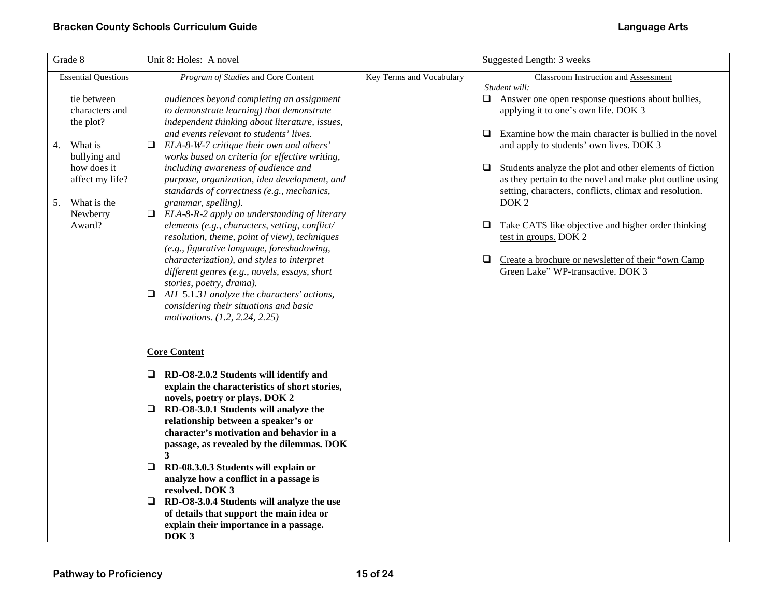| Grade 8                                                                              | Unit 8: Holes: A novel                                                                                                                                                                                                                                                                                                                                                                                                                                                                                                                                                                    |                          | Suggested Length: 3 weeks                                                                                                                                                                                                                         |
|--------------------------------------------------------------------------------------|-------------------------------------------------------------------------------------------------------------------------------------------------------------------------------------------------------------------------------------------------------------------------------------------------------------------------------------------------------------------------------------------------------------------------------------------------------------------------------------------------------------------------------------------------------------------------------------------|--------------------------|---------------------------------------------------------------------------------------------------------------------------------------------------------------------------------------------------------------------------------------------------|
| <b>Essential Questions</b>                                                           | Program of Studies and Core Content                                                                                                                                                                                                                                                                                                                                                                                                                                                                                                                                                       | Key Terms and Vocabulary | Classroom Instruction and Assessment<br>Student will:                                                                                                                                                                                             |
| tie between<br>characters and<br>the plot?                                           | audiences beyond completing an assignment<br>to demonstrate learning) that demonstrate<br>independent thinking about literature, issues,<br>and events relevant to students' lives.                                                                                                                                                                                                                                                                                                                                                                                                       |                          | Answer one open response questions about bullies,<br>$\Box$<br>applying it to one's own life. DOK 3<br>Examine how the main character is bullied in the novel<br>$\Box$                                                                           |
| 4.<br>What is<br>bullying and<br>how does it<br>affect my life?<br>What is the<br>5. | ELA-8-W-7 critique their own and others'<br>❏<br>works based on criteria for effective writing,<br>including awareness of audience and<br>purpose, organization, idea development, and<br>standards of correctness (e.g., mechanics,<br>grammar, spelling).                                                                                                                                                                                                                                                                                                                               |                          | and apply to students' own lives. DOK 3<br>Students analyze the plot and other elements of fiction<br>□<br>as they pertain to the novel and make plot outline using<br>setting, characters, conflicts, climax and resolution.<br>DOK <sub>2</sub> |
| Newberry<br>Award?                                                                   | $\Box$<br>ELA-8-R-2 apply an understanding of literary<br>elements (e.g., characters, setting, conflict/<br>resolution, theme, point of view), techniques<br>(e.g., figurative language, foreshadowing,<br>characterization), and styles to interpret<br>different genres (e.g., novels, essays, short                                                                                                                                                                                                                                                                                    |                          | ❏<br>Take CATS like objective and higher order thinking<br>test in groups. DOK 2<br>$\Box$<br>Create a brochure or newsletter of their "own Camp<br>Green Lake" WP-transactive. DOK 3                                                             |
|                                                                                      | stories, poetry, drama).<br>AH 5.1.31 analyze the characters' actions,<br>❏<br>considering their situations and basic<br>motivations. (1.2, 2.24, 2.25)                                                                                                                                                                                                                                                                                                                                                                                                                                   |                          |                                                                                                                                                                                                                                                   |
|                                                                                      | <b>Core Content</b>                                                                                                                                                                                                                                                                                                                                                                                                                                                                                                                                                                       |                          |                                                                                                                                                                                                                                                   |
|                                                                                      | RD-O8-2.0.2 Students will identify and<br>u<br>explain the characteristics of short stories,<br>novels, poetry or plays. DOK 2<br>$\Box$ RD-O8-3.0.1 Students will analyze the<br>relationship between a speaker's or<br>character's motivation and behavior in a<br>passage, as revealed by the dilemmas. DOK<br>3<br>RD-08.3.0.3 Students will explain or<br>❏<br>analyze how a conflict in a passage is<br>resolved. DOK 3<br>RD-O8-3.0.4 Students will analyze the use<br>□<br>of details that support the main idea or<br>explain their importance in a passage.<br>DOK <sub>3</sub> |                          |                                                                                                                                                                                                                                                   |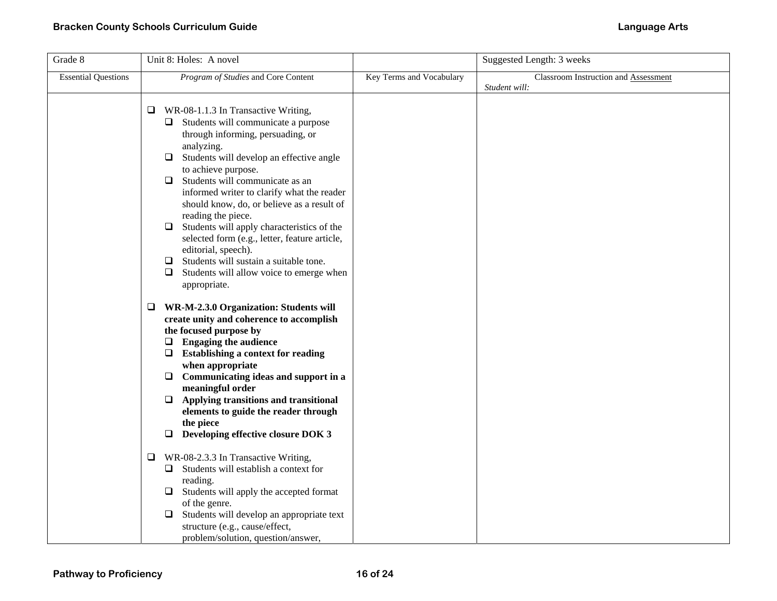| Grade 8                    | Unit 8: Holes: A novel                                                                                                                                                                                                                                                                                                                                                                                                                                                                                                                                                                                                 |                          | Suggested Length: 3 weeks            |
|----------------------------|------------------------------------------------------------------------------------------------------------------------------------------------------------------------------------------------------------------------------------------------------------------------------------------------------------------------------------------------------------------------------------------------------------------------------------------------------------------------------------------------------------------------------------------------------------------------------------------------------------------------|--------------------------|--------------------------------------|
| <b>Essential Questions</b> | Program of Studies and Core Content                                                                                                                                                                                                                                                                                                                                                                                                                                                                                                                                                                                    | Key Terms and Vocabulary | Classroom Instruction and Assessment |
|                            | WR-08-1.1.3 In Transactive Writing,<br>⊔<br>$\Box$ Students will communicate a purpose<br>through informing, persuading, or<br>analyzing.<br>Students will develop an effective angle<br>❏<br>to achieve purpose.<br>Students will communicate as an<br>◻<br>informed writer to clarify what the reader<br>should know, do, or believe as a result of<br>reading the piece.<br>Students will apply characteristics of the<br>⊔<br>selected form (e.g., letter, feature article,<br>editorial, speech).<br>Students will sustain a suitable tone.<br>❏<br>Students will allow voice to emerge when<br>❏<br>appropriate. |                          | Student will:                        |
|                            | WR-M-2.3.0 Organization: Students will<br>⊔<br>create unity and coherence to accomplish<br>the focused purpose by<br><b>Engaging the audience</b><br>❏<br>$\Box$ Establishing a context for reading<br>when appropriate<br>Communicating ideas and support in a<br>❏<br>meaningful order<br>Applying transitions and transitional<br>❏<br>elements to guide the reader through<br>the piece<br>Developing effective closure DOK 3<br>❏<br>WR-08-2.3.3 In Transactive Writing,<br>Q                                                                                                                                     |                          |                                      |
|                            | $\Box$ Students will establish a context for<br>reading.<br>Students will apply the accepted format<br>⊔<br>of the genre.<br>Students will develop an appropriate text<br>□<br>structure (e.g., cause/effect,<br>problem/solution, question/answer,                                                                                                                                                                                                                                                                                                                                                                    |                          |                                      |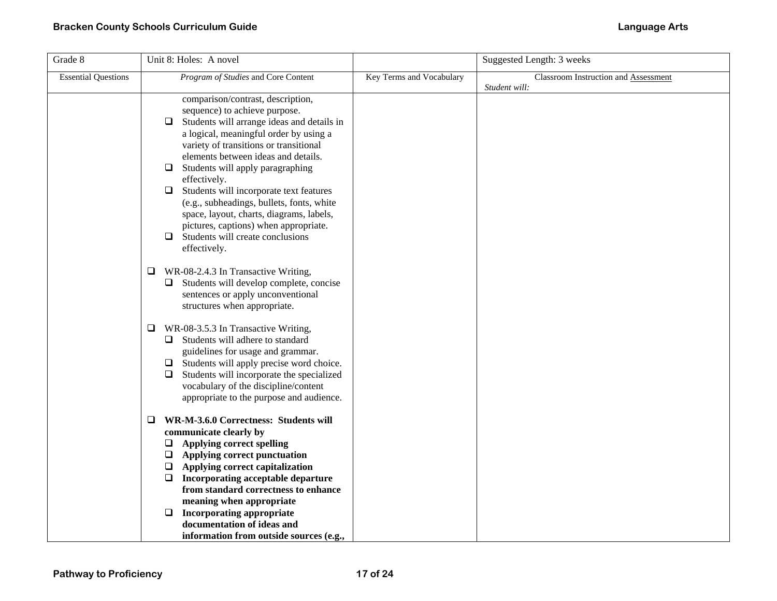| Grade 8                    | Unit 8: Holes: A novel                                                                                                                                                                                                                                                                                                                                                                                                                                                                                                                                    |                          | Suggested Length: 3 weeks                             |
|----------------------------|-----------------------------------------------------------------------------------------------------------------------------------------------------------------------------------------------------------------------------------------------------------------------------------------------------------------------------------------------------------------------------------------------------------------------------------------------------------------------------------------------------------------------------------------------------------|--------------------------|-------------------------------------------------------|
| <b>Essential Questions</b> | Program of Studies and Core Content                                                                                                                                                                                                                                                                                                                                                                                                                                                                                                                       | Key Terms and Vocabulary | Classroom Instruction and Assessment<br>Student will: |
|                            | comparison/contrast, description,<br>sequence) to achieve purpose.<br>Students will arrange ideas and details in<br>⊔<br>a logical, meaningful order by using a<br>variety of transitions or transitional<br>elements between ideas and details.<br>Students will apply paragraphing<br>□<br>effectively.<br>Students will incorporate text features<br>❏<br>(e.g., subheadings, bullets, fonts, white<br>space, layout, charts, diagrams, labels,<br>pictures, captions) when appropriate.<br>Students will create conclusions<br>$\Box$<br>effectively. |                          |                                                       |
|                            | WR-08-2.4.3 In Transactive Writing,<br>❏<br>Students will develop complete, concise<br>⊔<br>sentences or apply unconventional<br>structures when appropriate.                                                                                                                                                                                                                                                                                                                                                                                             |                          |                                                       |
|                            | WR-08-3.5.3 In Transactive Writing,<br>⊔<br>$\Box$ Students will adhere to standard<br>guidelines for usage and grammar.<br>$\Box$ Students will apply precise word choice.<br>Students will incorporate the specialized<br>□<br>vocabulary of the discipline/content<br>appropriate to the purpose and audience.                                                                                                                                                                                                                                         |                          |                                                       |
|                            | WR-M-3.6.0 Correctness: Students will<br>□<br>communicate clearly by<br>$\Box$ Applying correct spelling<br>$\Box$ Applying correct punctuation<br>Applying correct capitalization<br>❏<br>Incorporating acceptable departure<br>❏<br>from standard correctness to enhance<br>meaning when appropriate<br>□<br><b>Incorporating appropriate</b><br>documentation of ideas and<br>information from outside sources (e.g.,                                                                                                                                  |                          |                                                       |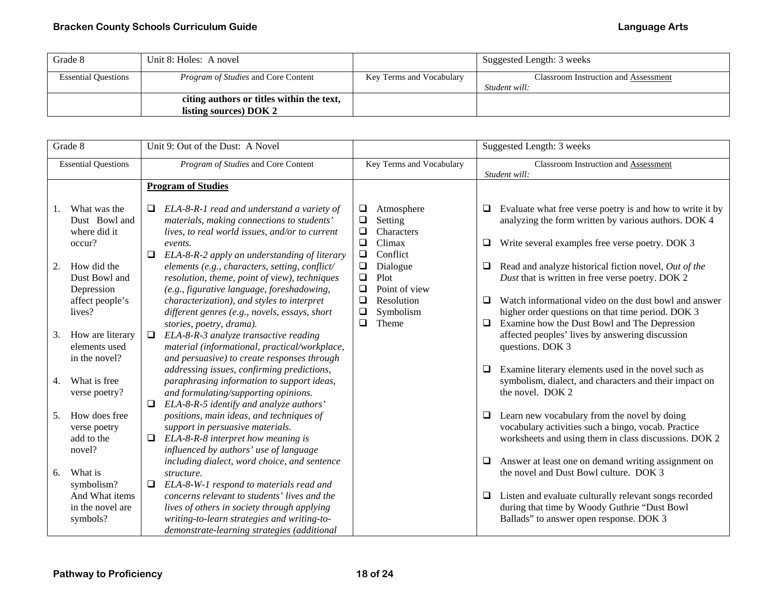| Grade 8                    | Unit 8: Holes: A novel                                              |                          | Suggested Length: 3 weeks                             |
|----------------------------|---------------------------------------------------------------------|--------------------------|-------------------------------------------------------|
| <b>Essential Questions</b> | <i>Program of Studies</i> and Core Content                          | Key Terms and Vocabulary | Classroom Instruction and Assessment<br>Student will: |
|                            | citing authors or titles within the text,<br>listing sources) DOK 2 |                          |                                                       |

| Grade 8                    |                                                                        | Unit 9: Out of the Dust: A Novel |                                                                                                                                                                                                       |                                      |                                                           |              | Suggested Length: 3 weeks                                                                                                                                            |
|----------------------------|------------------------------------------------------------------------|----------------------------------|-------------------------------------------------------------------------------------------------------------------------------------------------------------------------------------------------------|--------------------------------------|-----------------------------------------------------------|--------------|----------------------------------------------------------------------------------------------------------------------------------------------------------------------|
| <b>Essential Questions</b> |                                                                        |                                  | Program of Studies and Core Content                                                                                                                                                                   |                                      | Key Terms and Vocabulary                                  |              | Classroom Instruction and Assessment                                                                                                                                 |
|                            |                                                                        |                                  |                                                                                                                                                                                                       |                                      |                                                           |              | Student will:                                                                                                                                                        |
|                            |                                                                        |                                  | <b>Program of Studies</b>                                                                                                                                                                             |                                      |                                                           |              |                                                                                                                                                                      |
| 1.<br>2.                   | What was the<br>Dust Bowl and<br>where did it<br>occur?<br>How did the | $\Box$<br>$\Box$                 | ELA-8-R-1 read and understand a variety of<br>materials, making connections to students'<br>lives, to real world issues, and/or to current<br>events.<br>ELA-8-R-2 apply an understanding of literary | ❏<br>$\Box$<br>❏<br>$\Box$<br>$\Box$ | Atmosphere<br>Setting<br>Characters<br>Climax<br>Conflict | Q.<br>⊔      | Evaluate what free verse poetry is and how to write it by<br>analyzing the form written by various authors. DOK 4<br>Write several examples free verse poetry. DOK 3 |
|                            | Dust Bowl and<br>Depression                                            |                                  | elements (e.g., characters, setting, conflict/<br>resolution, theme, point of view), techniques<br>(e.g., figurative language, foreshadowing,                                                         | $\Box$<br>$\Box$<br>$\Box$           | Dialogue<br>Plot<br>Point of view                         | Q.           | Read and analyze historical fiction novel, Out of the<br>Dust that is written in free verse poetry. DOK 2                                                            |
|                            | affect people's<br>lives?                                              |                                  | characterization), and styles to interpret<br>different genres (e.g., novels, essays, short<br>stories, poetry, drama).                                                                               | $\Box$<br>❏<br>$\Box$                | Resolution<br>Symbolism<br>Theme                          | $\Box$<br>Q. | Watch informational video on the dust bowl and answer<br>higher order questions on that time period. DOK 3<br>Examine how the Dust Bowl and The Depression           |
| 3.                         | How are literary<br>elements used<br>in the novel?                     | $\Box$                           | ELA-8-R-3 analyze transactive reading<br>material (informational, practical/workplace,<br>and persuasive) to create responses through                                                                 |                                      |                                                           |              | affected peoples' lives by answering discussion<br>questions. DOK 3                                                                                                  |
| 4.                         | What is free<br>verse poetry?                                          | ❏                                | addressing issues, confirming predictions,<br>paraphrasing information to support ideas,<br>and formulating/supporting opinions.<br>ELA-8-R-5 identify and analyze authors'                           |                                      |                                                           | $\Box$       | Examine literary elements used in the novel such as<br>symbolism, dialect, and characters and their impact on<br>the novel. DOK 2                                    |
| 5.                         | How does free<br>verse poetry<br>add to the<br>novel?                  | $\Box$                           | positions, main ideas, and techniques of<br>support in persuasive materials.<br>ELA-8-R-8 interpret how meaning is<br>influenced by authors' use of language                                          |                                      |                                                           | ⊔            | Learn new vocabulary from the novel by doing<br>vocabulary activities such a bingo, vocab. Practice<br>worksheets and using them in class discussions. DOK 2         |
| 6.                         | What is<br>symbolism?                                                  | □                                | including dialect, word choice, and sentence<br>structure.<br>ELA-8-W-1 respond to materials read and                                                                                                 |                                      |                                                           | Q.           | Answer at least one on demand writing assignment on<br>the novel and Dust Bowl culture. DOK 3                                                                        |
|                            | And What items<br>in the novel are<br>symbols?                         |                                  | concerns relevant to students' lives and the<br>lives of others in society through applying<br>writing-to-learn strategies and writing-to-<br>demonstrate-learning strategies (additional             |                                      |                                                           | Q.           | Listen and evaluate culturally relevant songs recorded<br>during that time by Woody Guthrie "Dust Bowl<br>Ballads" to answer open response. DOK 3                    |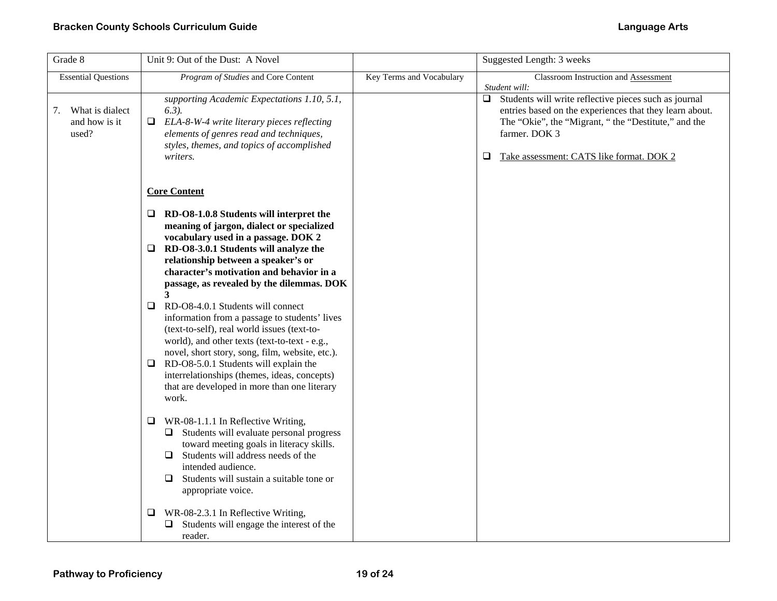| Grade 8                                         | Unit 9: Out of the Dust: A Novel                                                                                                                                                                                                                                                                                                                                                                                                                                                                                                                                                                                                                                                                                    |                          | Suggested Length: 3 weeks                                                                                                                                                                                                                            |
|-------------------------------------------------|---------------------------------------------------------------------------------------------------------------------------------------------------------------------------------------------------------------------------------------------------------------------------------------------------------------------------------------------------------------------------------------------------------------------------------------------------------------------------------------------------------------------------------------------------------------------------------------------------------------------------------------------------------------------------------------------------------------------|--------------------------|------------------------------------------------------------------------------------------------------------------------------------------------------------------------------------------------------------------------------------------------------|
| <b>Essential Questions</b>                      | Program of Studies and Core Content                                                                                                                                                                                                                                                                                                                                                                                                                                                                                                                                                                                                                                                                                 | Key Terms and Vocabulary | Classroom Instruction and Assessment<br>Student will:                                                                                                                                                                                                |
| What is dialect<br>7.<br>and how is it<br>used? | supporting Academic Expectations 1.10, 5.1,<br>$6.3$ ).<br>ELA-8-W-4 write literary pieces reflecting<br>$\Box$<br>elements of genres read and techniques,<br>styles, themes, and topics of accomplished<br>writers.                                                                                                                                                                                                                                                                                                                                                                                                                                                                                                |                          | Students will write reflective pieces such as journal<br>$\Box$<br>entries based on the experiences that they learn about.<br>The "Okie", the "Migrant, " the "Destitute," and the<br>farmer. DOK 3<br>Take assessment: CATS like format. DOK 2<br>⊔ |
|                                                 | <b>Core Content</b>                                                                                                                                                                                                                                                                                                                                                                                                                                                                                                                                                                                                                                                                                                 |                          |                                                                                                                                                                                                                                                      |
|                                                 | $\Box$ RD-O8-1.0.8 Students will interpret the<br>meaning of jargon, dialect or specialized<br>vocabulary used in a passage. DOK 2<br>$\Box$ RD-O8-3.0.1 Students will analyze the<br>relationship between a speaker's or<br>character's motivation and behavior in a<br>passage, as revealed by the dilemmas. DOK<br>3<br>RD-O8-4.0.1 Students will connect<br>$\Box$<br>information from a passage to students' lives<br>(text-to-self), real world issues (text-to-<br>world), and other texts (text-to-text - e.g.,<br>novel, short story, song, film, website, etc.).<br>RD-O8-5.0.1 Students will explain the<br>interrelationships (themes, ideas, concepts)<br>that are developed in more than one literary |                          |                                                                                                                                                                                                                                                      |
|                                                 | work.<br>WR-08-1.1.1 In Reflective Writing,<br>□<br>Students will evaluate personal progress<br>toward meeting goals in literacy skills.<br>Students will address needs of the<br>ப<br>intended audience.<br>Students will sustain a suitable tone or<br>◻<br>appropriate voice.<br>WR-08-2.3.1 In Reflective Writing,<br>⊔<br>Students will engage the interest of the                                                                                                                                                                                                                                                                                                                                             |                          |                                                                                                                                                                                                                                                      |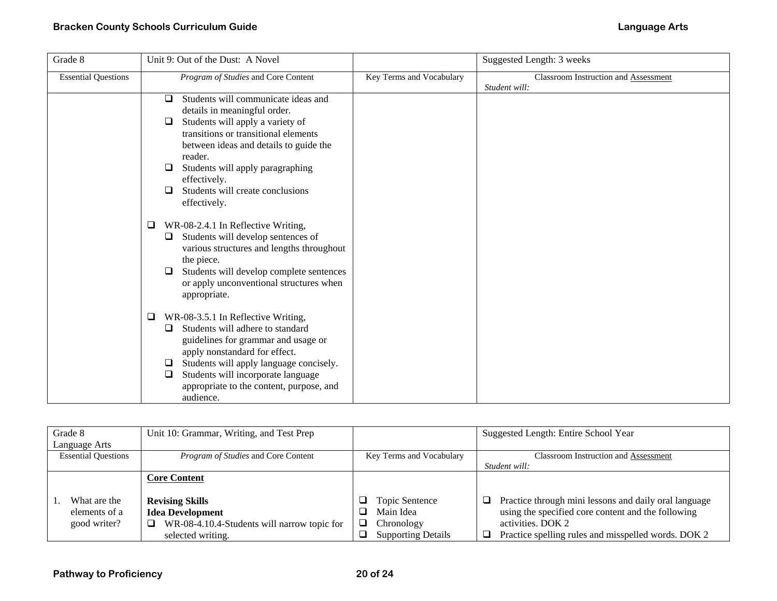| Grade 8                    | Unit 9: Out of the Dust: A Novel                                                                                                                                                                                                                                                                                                           |                          | Suggested Length: 3 weeks                             |
|----------------------------|--------------------------------------------------------------------------------------------------------------------------------------------------------------------------------------------------------------------------------------------------------------------------------------------------------------------------------------------|--------------------------|-------------------------------------------------------|
| <b>Essential Questions</b> | Program of Studies and Core Content                                                                                                                                                                                                                                                                                                        | Key Terms and Vocabulary | Classroom Instruction and Assessment<br>Student will: |
|                            | Students will communicate ideas and<br>$\Box$<br>details in meaningful order.<br>Students will apply a variety of<br>⊔<br>transitions or transitional elements<br>between ideas and details to guide the<br>reader.<br>Students will apply paragraphing<br>□<br>effectively.<br>Students will create conclusions<br>$\Box$<br>effectively. |                          |                                                       |
|                            | WR-08-2.4.1 In Reflective Writing,<br>⊔<br>Students will develop sentences of<br>Q.<br>various structures and lengths throughout<br>the piece.<br>Students will develop complete sentences<br>⊔<br>or apply unconventional structures when<br>appropriate.                                                                                 |                          |                                                       |
|                            | WR-08-3.5.1 In Reflective Writing,<br>□<br>Students will adhere to standard<br>$\Box$<br>guidelines for grammar and usage or<br>apply nonstandard for effect.<br>Students will apply language concisely.<br>⊔<br>Students will incorporate language<br>□<br>appropriate to the content, purpose, and<br>audience.                          |                          |                                                       |

| Grade 8                    | Unit 10: Grammar, Writing, and Test Prep    |                           | Suggested Length: Entire School Year                       |
|----------------------------|---------------------------------------------|---------------------------|------------------------------------------------------------|
| Language Arts              |                                             |                           |                                                            |
| <b>Essential Questions</b> | Program of Studies and Core Content         | Key Terms and Vocabulary  | <b>Classroom Instruction and Assessment</b>                |
|                            |                                             |                           | Student will:                                              |
|                            | <b>Core Content</b>                         |                           |                                                            |
|                            |                                             |                           |                                                            |
| What are the               | <b>Revising Skills</b>                      | Topic Sentence<br>◡       | Practice through mini lessons and daily oral language<br>ப |
| elements of a              | <b>Idea Development</b>                     | Main Idea                 | using the specified core content and the following         |
| good writer?               | WR-08-4.10.4-Students will narrow topic for | ❏<br>Chronology           | activities. DOK 2                                          |
|                            | selected writing.                           | <b>Supporting Details</b> | Practice spelling rules and misspelled words. DOK 2        |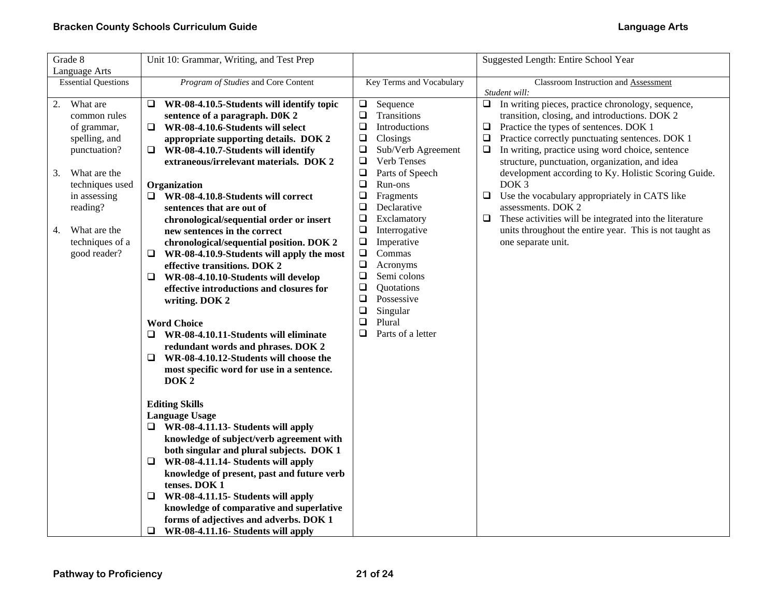| Grade 8                                                                                                                                                                                                      | Unit 10: Grammar, Writing, and Test Prep                                                                                                                                                                                                                                                                                                                                                                                                                                                                                                                                                                                                                                                                                                                                                                                                                                                                                                                                                                                                                                                                                                                                                                                                                                                                                                                                                        |                                                                                                                                                                                                                                                                                                                                                                                                                                                                                                                                 | Suggested Length: Entire School Year                                                                                                                                                                                                                                                                                                                                                                                                                                                                                                                                                                                                                                         |
|--------------------------------------------------------------------------------------------------------------------------------------------------------------------------------------------------------------|-------------------------------------------------------------------------------------------------------------------------------------------------------------------------------------------------------------------------------------------------------------------------------------------------------------------------------------------------------------------------------------------------------------------------------------------------------------------------------------------------------------------------------------------------------------------------------------------------------------------------------------------------------------------------------------------------------------------------------------------------------------------------------------------------------------------------------------------------------------------------------------------------------------------------------------------------------------------------------------------------------------------------------------------------------------------------------------------------------------------------------------------------------------------------------------------------------------------------------------------------------------------------------------------------------------------------------------------------------------------------------------------------|---------------------------------------------------------------------------------------------------------------------------------------------------------------------------------------------------------------------------------------------------------------------------------------------------------------------------------------------------------------------------------------------------------------------------------------------------------------------------------------------------------------------------------|------------------------------------------------------------------------------------------------------------------------------------------------------------------------------------------------------------------------------------------------------------------------------------------------------------------------------------------------------------------------------------------------------------------------------------------------------------------------------------------------------------------------------------------------------------------------------------------------------------------------------------------------------------------------------|
| Language Arts<br><b>Essential Questions</b>                                                                                                                                                                  | Program of Studies and Core Content                                                                                                                                                                                                                                                                                                                                                                                                                                                                                                                                                                                                                                                                                                                                                                                                                                                                                                                                                                                                                                                                                                                                                                                                                                                                                                                                                             | Key Terms and Vocabulary                                                                                                                                                                                                                                                                                                                                                                                                                                                                                                        | Classroom Instruction and Assessment                                                                                                                                                                                                                                                                                                                                                                                                                                                                                                                                                                                                                                         |
| What are<br>2.<br>common rules<br>of grammar,<br>spelling, and<br>punctuation?<br>What are the<br>3.<br>techniques used<br>in assessing<br>reading?<br>What are the<br>4.<br>techniques of a<br>good reader? | WR-08-4.10.5-Students will identify topic<br>⊔<br>sentence of a paragraph. D0K 2<br>$\Box$<br>WR-08-4.10.6-Students will select<br>appropriate supporting details. DOK 2<br>WR-08-4.10.7-Students will identify<br>$\Box$<br>extraneous/irrelevant materials. DOK 2<br>Organization<br>$\Box$ WR-08-4.10.8-Students will correct<br>sentences that are out of<br>chronological/sequential order or insert<br>new sentences in the correct<br>chronological/sequential position. DOK 2<br>$\Box$<br>WR-08-4.10.9-Students will apply the most<br>effective transitions. DOK 2<br>WR-08-4.10.10-Students will develop<br>Q<br>effective introductions and closures for<br>writing. DOK 2<br><b>Word Choice</b><br>WR-08-4.10.11-Students will eliminate<br>❏.<br>redundant words and phrases. DOK 2<br>WR-08-4.10.12-Students will choose the<br>Q<br>most specific word for use in a sentence.<br>DOK <sub>2</sub><br><b>Editing Skills</b><br><b>Language Usage</b><br>$\Box$ WR-08-4.11.13- Students will apply<br>knowledge of subject/verb agreement with<br>both singular and plural subjects. DOK 1<br>WR-08-4.11.14- Students will apply<br>❏<br>knowledge of present, past and future verb<br>tenses. DOK 1<br>WR-08-4.11.15- Students will apply<br>Q.<br>knowledge of comparative and superlative<br>forms of adjectives and adverbs. DOK 1<br>❏<br>WR-08-4.11.16- Students will apply | Sequence<br>$\Box$<br>$\Box$<br>Transitions<br>$\Box$<br>Introductions<br>$\Box$<br>Closings<br>$\Box$<br>Sub/Verb Agreement<br>Verb Tenses<br>$\Box$<br>$\Box$<br>Parts of Speech<br>$\Box$<br>Run-ons<br>$\Box$<br>Fragments<br>$\Box$<br>Declarative<br>$\Box$<br>Exclamatory<br>$\Box$<br>Interrogative<br>$\Box$<br>Imperative<br>$\Box$<br>Commas<br>$\Box$<br>Acronyms<br>$\Box$<br>Semi colons<br>$\Box$<br>Quotations<br>$\Box$<br>Possessive<br>$\Box$<br>Singular<br>$\Box$<br>Plural<br>$\Box$<br>Parts of a letter | Student will:<br>In writing pieces, practice chronology, sequence,<br>❏<br>transition, closing, and introductions. DOK 2<br>$\Box$<br>Practice the types of sentences. DOK 1<br>$\Box$<br>Practice correctly punctuating sentences. DOK 1<br>In writing, practice using word choice, sentence<br>$\Box$<br>structure, punctuation, organization, and idea<br>development according to Ky. Holistic Scoring Guide.<br>DOK <sub>3</sub><br>$\Box$<br>Use the vocabulary appropriately in CATS like<br>assessments. DOK 2<br>$\Box$<br>These activities will be integrated into the literature<br>units throughout the entire year. This is not taught as<br>one separate unit. |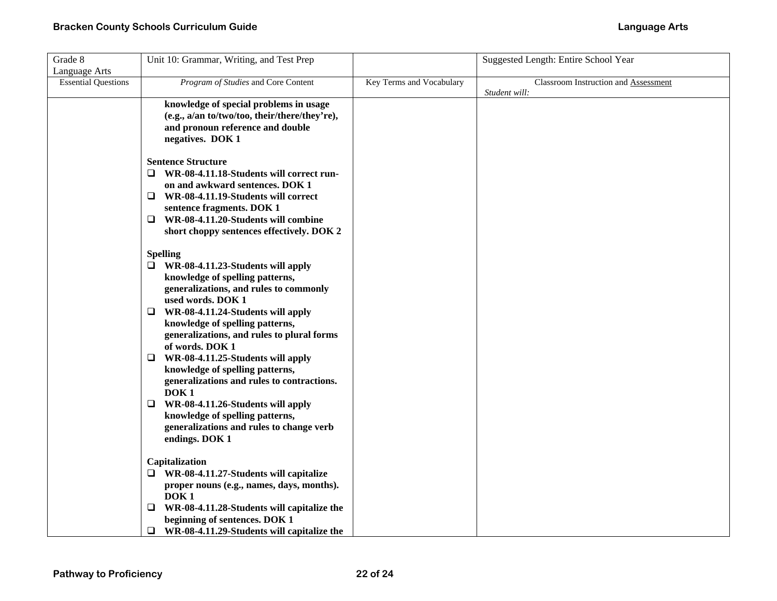| Grade 8                    | Unit 10: Grammar, Writing, and Test Prep        |                          | Suggested Length: Entire School Year |
|----------------------------|-------------------------------------------------|--------------------------|--------------------------------------|
| Language Arts              |                                                 |                          |                                      |
| <b>Essential Questions</b> | Program of Studies and Core Content             | Key Terms and Vocabulary | Classroom Instruction and Assessment |
|                            |                                                 |                          | Student will:                        |
|                            | knowledge of special problems in usage          |                          |                                      |
|                            | (e.g., a/an to/two/too, their/there/they're),   |                          |                                      |
|                            | and pronoun reference and double                |                          |                                      |
|                            | negatives. DOK 1                                |                          |                                      |
|                            | <b>Sentence Structure</b>                       |                          |                                      |
|                            | $\Box$ WR-08-4.11.18-Students will correct run- |                          |                                      |
|                            | on and awkward sentences. DOK 1                 |                          |                                      |
|                            | 0<br>WR-08-4.11.19-Students will correct        |                          |                                      |
|                            | sentence fragments. DOK 1                       |                          |                                      |
|                            | WR-08-4.11.20-Students will combine<br>$\Box$   |                          |                                      |
|                            | short choppy sentences effectively. DOK 2       |                          |                                      |
|                            | <b>Spelling</b>                                 |                          |                                      |
|                            | $\Box$ WR-08-4.11.23-Students will apply        |                          |                                      |
|                            | knowledge of spelling patterns,                 |                          |                                      |
|                            | generalizations, and rules to commonly          |                          |                                      |
|                            | used words. DOK 1                               |                          |                                      |
|                            | WR-08-4.11.24-Students will apply<br>⊔          |                          |                                      |
|                            | knowledge of spelling patterns,                 |                          |                                      |
|                            | generalizations, and rules to plural forms      |                          |                                      |
|                            | of words. DOK 1                                 |                          |                                      |
|                            | WR-08-4.11.25-Students will apply<br>u          |                          |                                      |
|                            | knowledge of spelling patterns,                 |                          |                                      |
|                            | generalizations and rules to contractions.      |                          |                                      |
|                            | DOK <sub>1</sub>                                |                          |                                      |
|                            | WR-08-4.11.26-Students will apply<br>❏          |                          |                                      |
|                            | knowledge of spelling patterns,                 |                          |                                      |
|                            | generalizations and rules to change verb        |                          |                                      |
|                            | endings. DOK 1                                  |                          |                                      |
|                            | Capitalization                                  |                          |                                      |
|                            | $\Box$ WR-08-4.11.27-Students will capitalize   |                          |                                      |
|                            | proper nouns (e.g., names, days, months).       |                          |                                      |
|                            | DOK <sub>1</sub>                                |                          |                                      |
|                            | WR-08-4.11.28-Students will capitalize the<br>⊔ |                          |                                      |
|                            | beginning of sentences. DOK 1                   |                          |                                      |
|                            | WR-08-4.11.29-Students will capitalize the<br>❏ |                          |                                      |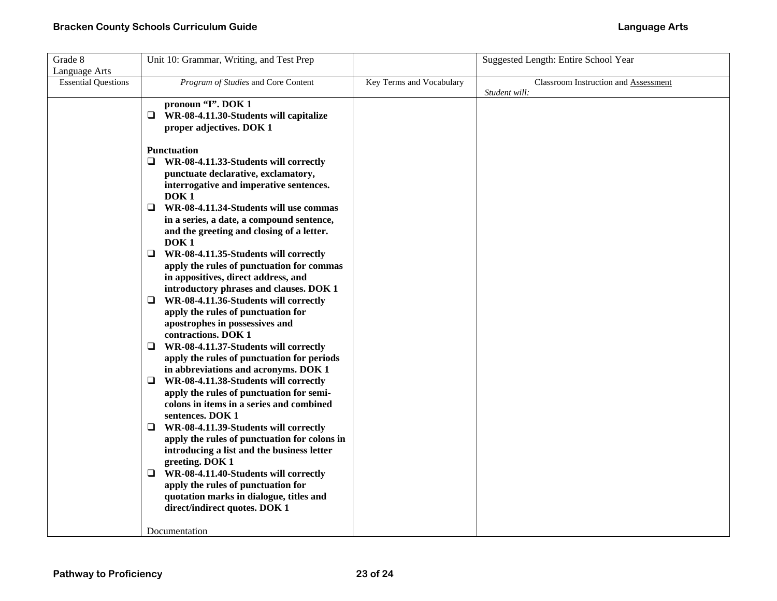| Grade 8                    | Unit 10: Grammar, Writing, and Test Prep                                      |                          | Suggested Length: Entire School Year |
|----------------------------|-------------------------------------------------------------------------------|--------------------------|--------------------------------------|
| Language Arts              |                                                                               |                          |                                      |
| <b>Essential Questions</b> | Program of Studies and Core Content                                           | Key Terms and Vocabulary | Classroom Instruction and Assessment |
|                            |                                                                               |                          | Student will:                        |
|                            | pronoun "I". DOK 1                                                            |                          |                                      |
|                            | WR-08-4.11.30-Students will capitalize<br>❏.                                  |                          |                                      |
|                            | proper adjectives. DOK 1                                                      |                          |                                      |
|                            |                                                                               |                          |                                      |
|                            | <b>Punctuation</b>                                                            |                          |                                      |
|                            | $\Box$ WR-08-4.11.33-Students will correctly                                  |                          |                                      |
|                            | punctuate declarative, exclamatory,                                           |                          |                                      |
|                            | interrogative and imperative sentences.<br>DOK <sub>1</sub>                   |                          |                                      |
|                            | $\Box$ WR-08-4.11.34-Students will use commas                                 |                          |                                      |
|                            | in a series, a date, a compound sentence,                                     |                          |                                      |
|                            | and the greeting and closing of a letter.                                     |                          |                                      |
|                            | DOK <sub>1</sub>                                                              |                          |                                      |
|                            | $\Box$ WR-08-4.11.35-Students will correctly                                  |                          |                                      |
|                            | apply the rules of punctuation for commas                                     |                          |                                      |
|                            | in appositives, direct address, and                                           |                          |                                      |
|                            | introductory phrases and clauses. DOK 1                                       |                          |                                      |
|                            | $\Box$ WR-08-4.11.36-Students will correctly                                  |                          |                                      |
|                            | apply the rules of punctuation for                                            |                          |                                      |
|                            | apostrophes in possessives and                                                |                          |                                      |
|                            | contractions. DOK 1                                                           |                          |                                      |
|                            | $\Box$ WR-08-4.11.37-Students will correctly                                  |                          |                                      |
|                            | apply the rules of punctuation for periods                                    |                          |                                      |
|                            | in abbreviations and acronyms. DOK 1                                          |                          |                                      |
|                            | $\Box$ WR-08-4.11.38-Students will correctly                                  |                          |                                      |
|                            | apply the rules of punctuation for semi-                                      |                          |                                      |
|                            | colons in items in a series and combined                                      |                          |                                      |
|                            | sentences. DOK 1                                                              |                          |                                      |
|                            | $\Box$ WR-08-4.11.39-Students will correctly                                  |                          |                                      |
|                            | apply the rules of punctuation for colons in                                  |                          |                                      |
|                            | introducing a list and the business letter                                    |                          |                                      |
|                            | greeting. DOK 1                                                               |                          |                                      |
|                            | WR-08-4.11.40-Students will correctly<br>⊔                                    |                          |                                      |
|                            | apply the rules of punctuation for<br>quotation marks in dialogue, titles and |                          |                                      |
|                            | direct/indirect quotes. DOK 1                                                 |                          |                                      |
|                            |                                                                               |                          |                                      |
|                            | Documentation                                                                 |                          |                                      |